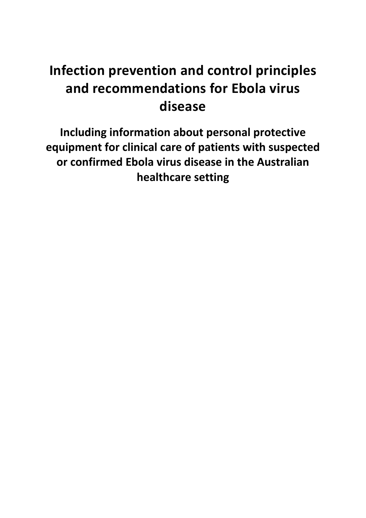# **Infection prevention and control principles and recommendations for Ebola virus disease**

**Including information about personal protective equipment for clinical care of patients with suspected or confirmed Ebola virus disease in the Australian healthcare setting**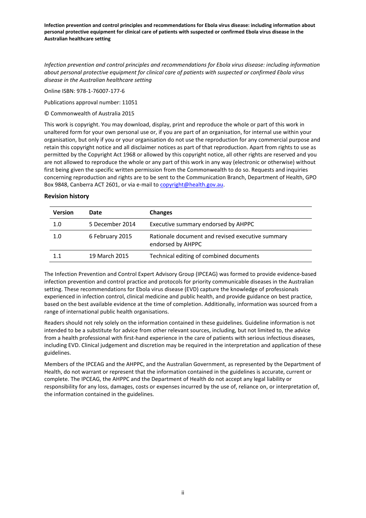*Infection prevention and control principles and recommendations for Ebola virus disease: including information about personal protective equipment for clinical care of patients with suspected or confirmed Ebola virus disease in the Australian healthcare setting*

Online ISBN: 978-1-76007-177-6

Publications approval number: 11051

© Commonwealth of Australia 2015

This work is copyright. You may download, display, print and reproduce the whole or part of this work in unaltered form for your own personal use or, if you are part of an organisation, for internal use within your organisation, but only if you or your organisation do not use the reproduction for any commercial purpose and retain this copyright notice and all disclaimer notices as part of that reproduction. Apart from rights to use as permitted by the Copyright Act 1968 or allowed by this copyright notice, all other rights are reserved and you are not allowed to reproduce the whole or any part of this work in any way (electronic or otherwise) without first being given the specific written permission from the Commonwealth to do so. Requests and inquiries concerning reproduction and rights are to be sent to the Communication Branch, Department of Health, GPO Box 9848, Canberra ACT 2601, or via e-mail t[o copyright@health.gov.au.](mailto:copyright@health.gov.au)

#### **Revision history**

| <b>Version</b> | Date            | <b>Changes</b>                                                        |
|----------------|-----------------|-----------------------------------------------------------------------|
| 1.0            | 5 December 2014 | Executive summary endorsed by AHPPC                                   |
| 1.0            | 6 February 2015 | Rationale document and revised executive summary<br>endorsed by AHPPC |
| 1.1            | 19 March 2015   | Technical editing of combined documents                               |

The Infection Prevention and Control Expert Advisory Group (IPCEAG) was formed to provide evidence-based infection prevention and control practice and protocols for priority communicable diseases in the Australian setting. These recommendations for Ebola virus disease (EVD) capture the knowledge of professionals experienced in infection control, clinical medicine and public health, and provide guidance on best practice, based on the best available evidence at the time of completion. Additionally, information was sourced from a range of international public health organisations.

Readers should not rely solely on the information contained in these guidelines. Guideline information is not intended to be a substitute for advice from other relevant sources, including, but not limited to, the advice from a health professional with first-hand experience in the care of patients with serious infectious diseases, including EVD. Clinical judgement and discretion may be required in the interpretation and application of these guidelines.

Members of the IPCEAG and the AHPPC, and the Australian Government, as represented by the Department of Health, do not warrant or represent that the information contained in the guidelines is accurate, current or complete. The IPCEAG, the AHPPC and the Department of Health do not accept any legal liability or responsibility for any loss, damages, costs or expenses incurred by the use of, reliance on, or interpretation of, the information contained in the guidelines.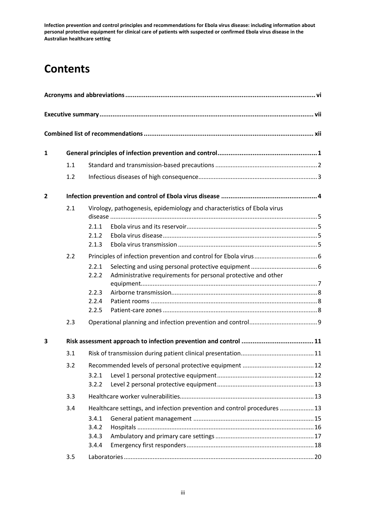# **Contents**

<span id="page-2-0"></span>

| $\mathbf{1}$   |     |       |                                                                          |  |
|----------------|-----|-------|--------------------------------------------------------------------------|--|
|                | 1.1 |       |                                                                          |  |
|                | 1.2 |       |                                                                          |  |
| $\overline{2}$ |     |       |                                                                          |  |
|                | 2.1 |       | Virology, pathogenesis, epidemiology and characteristics of Ebola virus  |  |
|                |     | 2.1.1 |                                                                          |  |
|                |     | 2.1.2 |                                                                          |  |
|                |     | 2.1.3 |                                                                          |  |
|                | 2.2 |       |                                                                          |  |
|                |     | 2.2.1 |                                                                          |  |
|                |     | 2.2.2 | Administrative requirements for personal protective and other            |  |
|                |     | 2.2.3 |                                                                          |  |
|                |     | 2.2.4 |                                                                          |  |
|                |     | 2.2.5 |                                                                          |  |
|                | 2.3 |       |                                                                          |  |
| 3              |     |       |                                                                          |  |
|                | 3.1 |       |                                                                          |  |
|                | 3.2 |       |                                                                          |  |
|                |     | 3.2.1 |                                                                          |  |
|                |     | 3.2.2 |                                                                          |  |
|                | 3.3 |       |                                                                          |  |
|                | 3.4 |       | Healthcare settings, and infection prevention and control procedures  13 |  |
|                |     | 3.4.1 |                                                                          |  |
|                |     | 3.4.2 |                                                                          |  |
|                |     | 3.4.3 |                                                                          |  |
|                |     | 3.4.4 |                                                                          |  |
|                | 3.5 |       |                                                                          |  |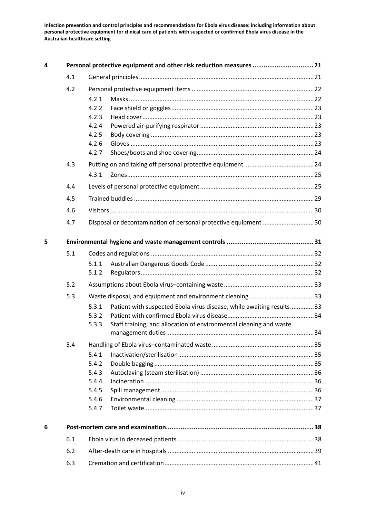| 4 |     | Personal protective equipment and other risk reduction measures  21           |  |
|---|-----|-------------------------------------------------------------------------------|--|
|   | 4.1 |                                                                               |  |
|   | 4.2 |                                                                               |  |
|   |     | 4.2.1                                                                         |  |
|   |     | 4.2.2                                                                         |  |
|   |     | 4.2.3                                                                         |  |
|   |     | 4.2.4                                                                         |  |
|   |     | 4.2.5                                                                         |  |
|   |     | 4.2.6<br>4.2.7                                                                |  |
|   |     |                                                                               |  |
|   | 4.3 |                                                                               |  |
|   |     | 4.3.1                                                                         |  |
|   | 4.4 |                                                                               |  |
|   | 4.5 |                                                                               |  |
|   | 4.6 |                                                                               |  |
|   | 4.7 | Disposal or decontamination of personal protective equipment 30               |  |
| 5 |     |                                                                               |  |
|   | 5.1 |                                                                               |  |
|   |     | 5.1.1                                                                         |  |
|   |     | 5.1.2                                                                         |  |
|   | 5.2 |                                                                               |  |
|   | 5.3 |                                                                               |  |
|   |     | Patient with suspected Ebola virus disease, while awaiting results33<br>5.3.1 |  |
|   |     | 5.3.2                                                                         |  |
|   |     | Staff training, and allocation of environmental cleaning and waste<br>5.3.3   |  |
|   |     |                                                                               |  |
|   | 5.4 |                                                                               |  |
|   |     | 5.4.1                                                                         |  |
|   |     | 5.4.2                                                                         |  |
|   |     | 5.4.3<br>5.4.4                                                                |  |
|   |     | 5.4.5                                                                         |  |
|   |     | 5.4.6                                                                         |  |
|   |     | 5.4.7                                                                         |  |
| 6 |     |                                                                               |  |
|   | 6.1 |                                                                               |  |
|   | 6.2 |                                                                               |  |
|   | 6.3 |                                                                               |  |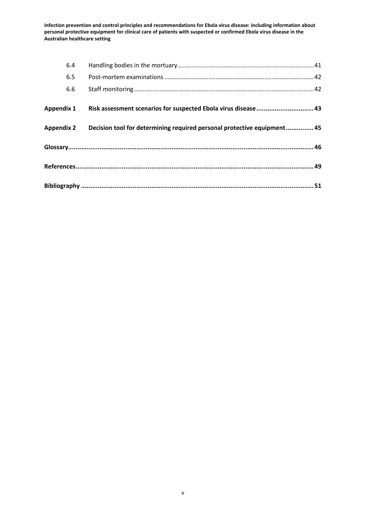| 6.4               |                                                                         |  |
|-------------------|-------------------------------------------------------------------------|--|
| 6.5               |                                                                         |  |
| 6.6               |                                                                         |  |
| <b>Appendix 1</b> | Risk assessment scenarios for suspected Ebola virus disease 43          |  |
| <b>Appendix 2</b> | Decision tool for determining required personal protective equipment 45 |  |
|                   |                                                                         |  |
|                   |                                                                         |  |
|                   |                                                                         |  |
|                   |                                                                         |  |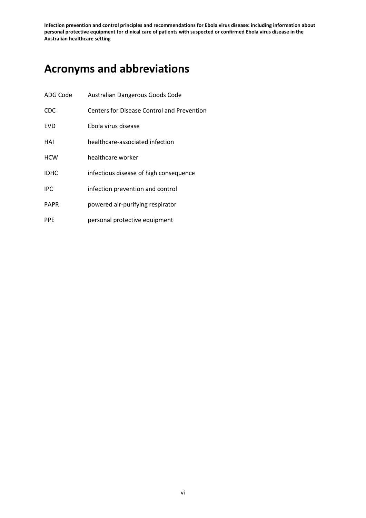# **Acronyms and abbreviations**

| ADG Code    | Australian Dangerous Goods Code                   |
|-------------|---------------------------------------------------|
| <b>CDC</b>  | <b>Centers for Disease Control and Prevention</b> |
| <b>FVD</b>  | Ebola virus disease                               |
| HAI         | healthcare-associated infection                   |
| <b>HCW</b>  | healthcare worker                                 |
| <b>IDHC</b> | infectious disease of high consequence            |
| <b>IPC</b>  | infection prevention and control                  |
| <b>PAPR</b> | powered air-purifying respirator                  |
| <b>PPE</b>  | personal protective equipment                     |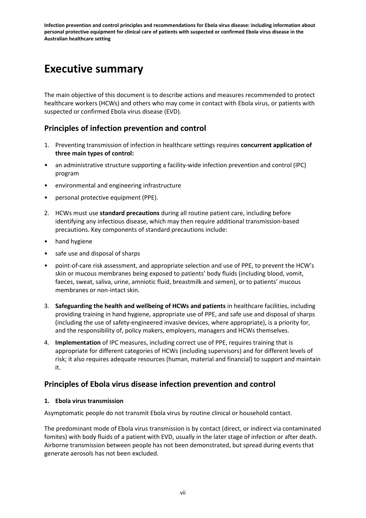## **Executive summary**

The main objective of this document is to describe actions and measures recommended to protect healthcare workers (HCWs) and others who may come in contact with Ebola virus, or patients with suspected or confirmed Ebola virus disease (EVD).

## **Principles of infection prevention and control**

- 1. Preventing transmission of infection in healthcare settings requires **concurrent application of three main types of control:**
- an administrative structure supporting a facility-wide infection prevention and control (IPC) program
- environmental and engineering infrastructure
- personal protective equipment (PPE).
- 2. HCWs must use **standard precautions** during all routine patient care, including before identifying any infectious disease, which may then require additional transmission-based precautions. Key components of standard precautions include:
- hand hygiene
- safe use and disposal of sharps
- point-of-care risk assessment, and appropriate selection and use of PPE, to prevent the HCW's skin or mucous membranes being exposed to patients' body fluids (including blood, vomit, faeces, sweat, saliva, urine, amniotic fluid, breastmilk and semen), or to patients' mucous membranes or non-intact skin.
- 3. **Safeguarding the health and wellbeing of HCWs and patients** in healthcare facilities, including providing training in hand hygiene, appropriate use of PPE, and safe use and disposal of sharps (including the use of safety-engineered invasive devices, where appropriate), is a priority for, and the responsibility of, policy makers, employers, managers and HCWs themselves.
- 4. **Implementation** of IPC measures, including correct use of PPE, requires training that is appropriate for different categories of HCWs (including supervisors) and for different levels of risk; it also requires adequate resources (human, material and financial) to support and maintain it.

## **Principles of Ebola virus disease infection prevention and control**

## **1. Ebola virus transmission**

Asymptomatic people do not transmit Ebola virus by routine clinical or household contact.

The predominant mode of Ebola virus transmission is by contact (direct, or indirect via contaminated fomites) with body fluids of a patient with EVD, usually in the later stage of infection or after death. Airborne transmission between people has not been demonstrated, but spread during events that generate aerosols has not been excluded.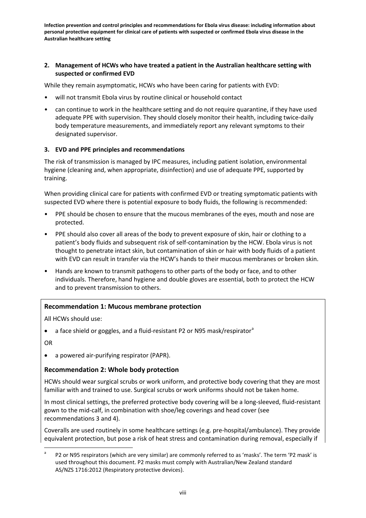### **2. Management of HCWs who have treated a patient in the Australian healthcare setting with suspected or confirmed EVD**

While they remain asymptomatic, HCWs who have been caring for patients with EVD:

- will not transmit Ebola virus by routine clinical or household contact
- can continue to work in the healthcare setting and do not require quarantine, if they have used adequate PPE with supervision. They should closely monitor their health, including twice-daily body temperature measurements, and immediately report any relevant symptoms to their designated supervisor.

## **3. EVD and PPE principles and recommendations**

The risk of transmission is managed by IPC measures, including patient isolation, environmental hygiene (cleaning and, when appropriate, disinfection) and use of adequate PPE, supported by training.

When providing clinical care for patients with confirmed EVD or treating symptomatic patients with suspected EVD where there is potential exposure to body fluids, the following is recommended:

- PPE should be chosen to ensure that the mucous membranes of the eyes, mouth and nose are protected.
- PPE should also cover all areas of the body to prevent exposure of skin, hair or clothing to a patient's body fluids and subsequent risk of self-contamination by the HCW. Ebola virus is not thought to penetrate intact skin, but contamination of skin or hair with body fluids of a patient with EVD can result in transfer via the HCW's hands to their mucous membranes or broken skin.
- Hands are known to transmit pathogens to other parts of the body or face, and to other individuals. Therefore, hand hygiene and double gloves are essential, both to protect the HCW and to prevent transmission to others.

## **Recommendation 1: Mucous membrane protection**

All HCWs should use:

• [a](#page-2-0) face shield or goggles, and a fluid-resistant P2 or N95 mask/respirator<sup>a</sup>

OR

• a powered air-purifying respirator (PAPR).

## **Recommendation 2: Whole body protection**

HCWs should wear surgical scrubs or work uniform, and protective body covering that they are most familiar with and trained to use. Surgical scrubs or work uniforms should not be taken home.

In most clinical settings, the preferred protective body covering will be a long-sleeved, fluid-resistant gown to the mid-calf, in combination with shoe/leg coverings and head cover (see recommendations 3 and 4).

Coveralls are used routinely in some healthcare settings (e.g. pre-hospital/ambulance). They provide equivalent protection, but pose a risk of heat stress and contamination during removal, especially if

<span id="page-7-0"></span>P2 or N95 respirators (which are very similar) are commonly referred to as 'masks'. The term 'P2 mask' is used throughout this document. P2 masks must comply with Australian/New Zealand standard AS/NZS 1716:2012 (Respiratory protective devices).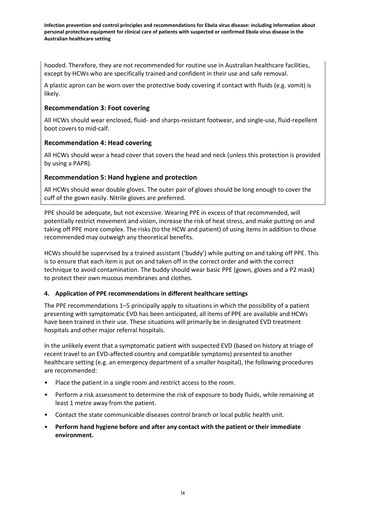hooded. Therefore, they are not recommended for routine use in Australian healthcare facilities, except by HCWs who are specifically trained and confident in their use and safe removal.

A plastic apron can be worn over the protective body covering if contact with fluids (e.g. vomit) is likely.

### **Recommendation 3: Foot covering**

All HCWs should wear enclosed, fluid- and sharps-resistant footwear, and single-use, fluid-repellent boot covers to mid-calf.

### **Recommendation 4: Head covering**

All HCWs should wear a head cover that covers the head and neck (unless this protection is provided by using a PAPR).

### **Recommendation 5: Hand hygiene and protection**

All HCWs should wear double gloves. The outer pair of gloves should be long enough to cover the cuff of the gown easily. Nitrile gloves are preferred.

PPE should be adequate, but not excessive. Wearing PPE in excess of that recommended, will potentially restrict movement and vision, increase the risk of heat stress, and make putting on and taking off PPE more complex. The risks (to the HCW and patient) of using items in addition to those recommended may outweigh any theoretical benefits.

HCWs should be supervised by a trained assistant ('buddy') while putting on and taking off PPE. This is to ensure that each item is put on and taken off in the correct order and with the correct technique to avoid contamination. The buddy should wear basic PPE (gown, gloves and a P2 mask) to protect their own mucous membranes and clothes.

#### **4. Application of PPE recommendations in different healthcare settings**

The PPE recommendations 1–5 principally apply to situations in which the possibility of a patient presenting with symptomatic EVD has been anticipated, all items of PPE are available and HCWs have been trained in their use. These situations will primarily be in designated EVD treatment hospitals and other major referral hospitals.

In the unlikely event that a symptomatic patient with suspected EVD (based on history at triage of recent travel to an EVD-affected country and compatible symptoms) presented to another healthcare setting (e.g. an emergency department of a smaller hospital), the following procedures are recommended:

- Place the patient in a single room and restrict access to the room.
- Perform a risk assessment to determine the risk of exposure to body fluids, while remaining at least 1 metre away from the patient.
- Contact the state communicable diseases control branch or local public health unit.
- **Perform hand hygiene before and after any contact with the patient or their immediate environment.**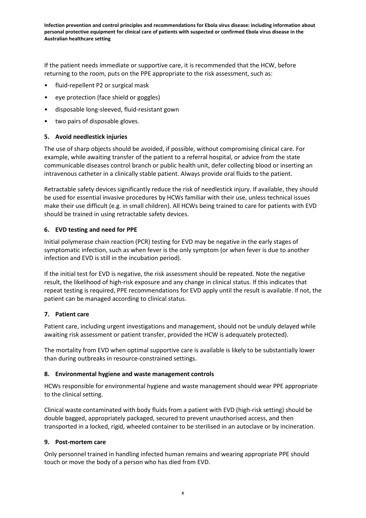If the patient needs immediate or supportive care, it is recommended that the HCW, before returning to the room, puts on the PPE appropriate to the risk assessment, such as:

- fluid-repellent P2 or surgical mask
- eye protection (face shield or goggles)
- disposable long-sleeved, fluid-resistant gown
- two pairs of disposable gloves.

#### **5. Avoid needlestick injuries**

The use of sharp objects should be avoided, if possible, without compromising clinical care. For example, while awaiting transfer of the patient to a referral hospital, or advice from the state communicable diseases control branch or public health unit, defer collecting blood or inserting an intravenous catheter in a clinically stable patient. Always provide oral fluids to the patient.

Retractable safety devices significantly reduce the risk of needlestick injury. If available, they should be used for essential invasive procedures by HCWs familiar with their use, unless technical issues make their use difficult (e.g. in small children). All HCWs being trained to care for patients with EVD should be trained in using retractable safety devices.

### **6. EVD testing and need for PPE**

Initial polymerase chain reaction (PCR) testing for EVD may be negative in the early stages of symptomatic infection, such as when fever is the only symptom (or when fever is due to another infection and EVD is still in the incubation period).

If the initial test for EVD is negative, the risk assessment should be repeated. Note the negative result, the likelihood of high-risk exposure and any change in clinical status. If this indicates that repeat testing is required, PPE recommendations for EVD apply until the result is available. If not, the patient can be managed according to clinical status.

#### **7. Patient care**

Patient care, including urgent investigations and management, should not be unduly delayed while awaiting risk assessment or patient transfer, provided the HCW is adequately protected).

The mortality from EVD when optimal supportive care is available is likely to be substantially lower than during outbreaks in resource-constrained settings.

#### **8. Environmental hygiene and waste management controls**

HCWs responsible for environmental hygiene and waste management should wear PPE appropriate to the clinical setting.

Clinical waste contaminated with body fluids from a patient with EVD (high-risk setting) should be double bagged, appropriately packaged, secured to prevent unauthorised access, and then transported in a locked, rigid, wheeled container to be sterilised in an autoclave or by incineration.

#### **9. Post-mortem care**

Only personnel trained in handling infected human remains and wearing appropriate PPE should touch or move the body of a person who has died from EVD.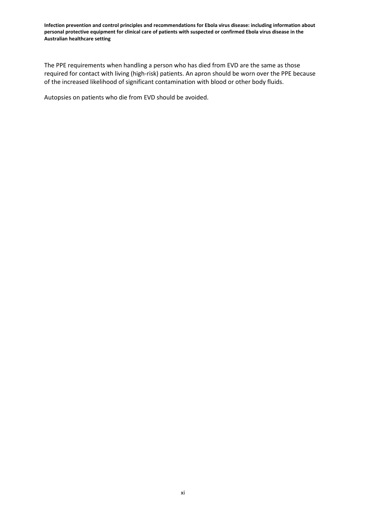The PPE requirements when handling a person who has died from EVD are the same as those required for contact with living (high-risk) patients. An apron should be worn over the PPE because of the increased likelihood of significant contamination with blood or other body fluids.

Autopsies on patients who die from EVD should be avoided.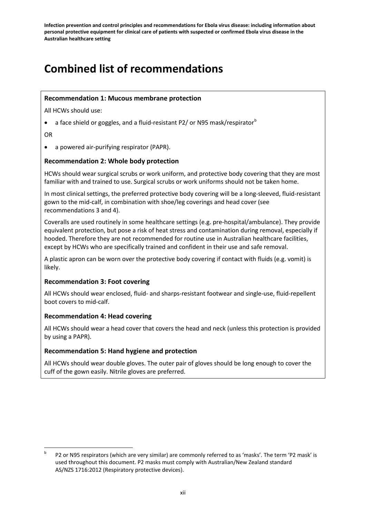# **Combined list of recommendations**

## **Recommendation 1: Mucous membrane protection**

All HCWs should use:

• a face shield or goggles, and a fluid-resistant P2/ or N95 mask/respirator $^b$  $^b$ 

OR

• a powered air-purifying respirator (PAPR).

## **Recommendation 2: Whole body protection**

HCWs should wear surgical scrubs or work uniform, and protective body covering that they are most familiar with and trained to use. Surgical scrubs or work uniforms should not be taken home.

In most clinical settings, the preferred protective body covering will be a long-sleeved, fluid-resistant gown to the mid-calf, in combination with shoe/leg coverings and head cover (see recommendations 3 and 4).

Coveralls are used routinely in some healthcare settings (e.g. pre-hospital/ambulance). They provide equivalent protection, but pose a risk of heat stress and contamination during removal, especially if hooded. Therefore they are not recommended for routine use in Australian healthcare facilities, except by HCWs who are specifically trained and confident in their use and safe removal.

A plastic apron can be worn over the protective body covering if contact with fluids (e.g. vomit) is likely.

## **Recommendation 3: Foot covering**

All HCWs should wear enclosed, fluid- and sharps-resistant footwear and single-use, fluid-repellent boot covers to mid-calf.

## **Recommendation 4: Head covering**

All HCWs should wear a head cover that covers the head and neck (unless this protection is provided by using a PAPR).

## **Recommendation 5: Hand hygiene and protection**

All HCWs should wear double gloves. The outer pair of gloves should be long enough to cover the cuff of the gown easily. Nitrile gloves are preferred.

<span id="page-11-0"></span> $b$  P2 or N95 respirators (which are very similar) are commonly referred to as 'masks'. The term 'P2 mask' is used throughout this document. P2 masks must comply with Australian/New Zealand standard AS/NZS 1716:2012 (Respiratory protective devices).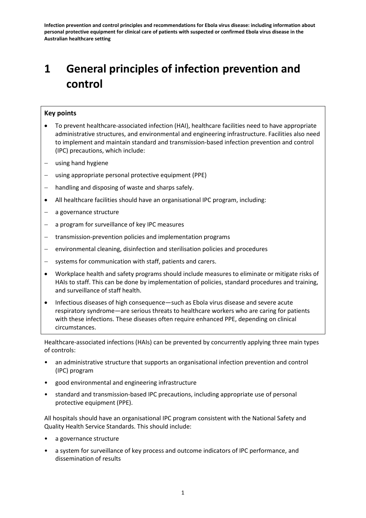# **1 General principles of infection prevention and control**

### **Key points**

- To prevent healthcare-associated infection (HAI), healthcare facilities need to have appropriate administrative structures, and environmental and engineering infrastructure. Facilities also need to implement and maintain standard and transmission-based infection prevention and control (IPC) precautions, which include:
- using hand hygiene
- − using appropriate personal protective equipment (PPE)
- handling and disposing of waste and sharps safely.
- All healthcare facilities should have an organisational IPC program, including:
- a governance structure
- − a program for surveillance of key IPC measures
- − transmission-prevention policies and implementation programs
- environmental cleaning, disinfection and sterilisation policies and procedures
- systems for communication with staff, patients and carers.
- Workplace health and safety programs should include measures to eliminate or mitigate risks of HAIs to staff. This can be done by implementation of policies, standard procedures and training, and surveillance of staff health.
- Infectious diseases of high consequence—such as Ebola virus disease and severe acute respiratory syndrome—are serious threats to healthcare workers who are caring for patients with these infections. These diseases often require enhanced PPE, depending on clinical circumstances.

Healthcare-associated infections (HAIs) can be prevented by concurrently applying three main types of controls:

- an administrative structure that supports an organisational infection prevention and control (IPC) program
- good environmental and engineering infrastructure
- standard and transmission-based IPC precautions, including appropriate use of personal protective equipment (PPE).

All hospitals should have an organisational IPC program consistent with the National Safety and Quality Health Service Standards. This should include:

- a governance structure
- a system for surveillance of key process and outcome indicators of IPC performance, and dissemination of results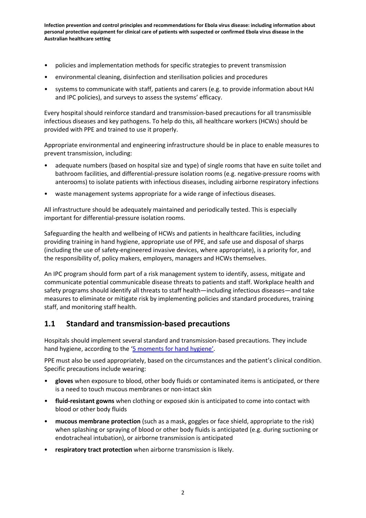- policies and implementation methods for specific strategies to prevent transmission
- environmental cleaning, disinfection and sterilisation policies and procedures
- systems to communicate with staff, patients and carers (e.g. to provide information about HAI and IPC policies), and surveys to assess the systems' efficacy.

Every hospital should reinforce standard and transmission-based precautions for all transmissible infectious diseases and key pathogens. To help do this, all healthcare workers (HCWs) should be provided with PPE and trained to use it properly.

Appropriate environmental and engineering infrastructure should be in place to enable measures to prevent transmission, including:

- adequate numbers (based on hospital size and type) of single rooms that have en suite toilet and bathroom facilities, and differential-pressure isolation rooms (e.g. negative-pressure rooms with anterooms) to isolate patients with infectious diseases, including airborne respiratory infections
- waste management systems appropriate for a wide range of infectious diseases.

All infrastructure should be adequately maintained and periodically tested. This is especially important for differential-pressure isolation rooms.

Safeguarding the health and wellbeing of HCWs and patients in healthcare facilities, including providing training in hand hygiene, appropriate use of PPE, and safe use and disposal of sharps (including the use of safety-engineered invasive devices, where appropriate), is a priority for, and the responsibility of, policy makers, employers, managers and HCWs themselves.

An IPC program should form part of a risk management system to identify, assess, mitigate and communicate potential communicable disease threats to patients and staff. Workplace health and safety programs should identify all threats to staff health—including infectious diseases—and take measures to eliminate or mitigate risk by implementing policies and standard procedures, training staff, and monitoring staff health.

## **1.1 Standard and transmission-based precautions**

Hospitals should implement several standard and transmission-based precautions. They include hand hygiene, according to the ['5 moments for hand hygiene'.](http://www.hha.org.au/home/5-moments-for-hand-hygiene.aspx)

PPE must also be used appropriately, based on the circumstances and the patient's clinical condition. Specific precautions include wearing:

- **gloves** when exposure to blood, other body fluids or contaminated items is anticipated, or there is a need to touch mucous membranes or non-intact skin
- **fluid-resistant gowns** when clothing or exposed skin is anticipated to come into contact with blood or other body fluids
- **mucous membrane protection** (such as a mask, goggles or face shield, appropriate to the risk) when splashing or spraying of blood or other body fluids is anticipated (e.g. during suctioning or endotracheal intubation), or airborne transmission is anticipated
- **respiratory tract protection** when airborne transmission is likely.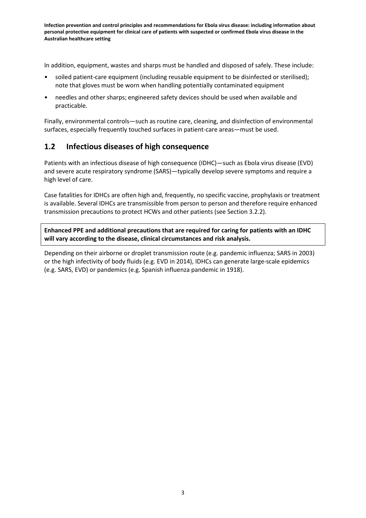In addition, equipment, wastes and sharps must be handled and disposed of safely. These include:

- soiled patient-care equipment (including reusable equipment to be disinfected or sterilised); note that gloves must be worn when handling potentially contaminated equipment
- needles and other sharps; engineered safety devices should be used when available and practicable.

Finally, environmental controls—such as routine care, cleaning, and disinfection of environmental surfaces, especially frequently touched surfaces in patient-care areas—must be used.

## **1.2 Infectious diseases of high consequence**

Patients with an infectious disease of high consequence (IDHC)—such as Ebola virus disease (EVD) and severe acute respiratory syndrome (SARS)—typically develop severe symptoms and require a high level of care.

Case fatalities for IDHCs are often high and, frequently, no specific vaccine, prophylaxis or treatment is available. Several IDHCs are transmissible from person to person and therefore require enhanced transmission precautions to protect HCWs and other patients (see Section 3.2.2).

**Enhanced PPE and additional precautions that are required for caring for patients with an IDHC will vary according to the disease, clinical circumstances and risk analysis.**

Depending on their airborne or droplet transmission route (e.g. pandemic influenza; SARS in 2003) or the high infectivity of body fluids (e.g. EVD in 2014), IDHCs can generate large-scale epidemics (e.g. SARS, EVD) or pandemics (e.g. Spanish influenza pandemic in 1918).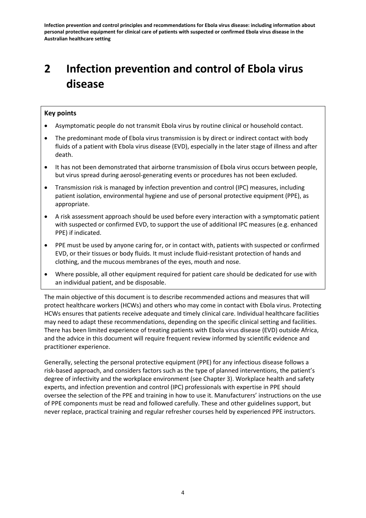# **2 Infection prevention and control of Ebola virus disease**

## **Key points**

- Asymptomatic people do not transmit Ebola virus by routine clinical or household contact.
- The predominant mode of Ebola virus transmission is by direct or indirect contact with body fluids of a patient with Ebola virus disease (EVD), especially in the later stage of illness and after death.
- It has not been demonstrated that airborne transmission of Ebola virus occurs between people, but virus spread during aerosol-generating events or procedures has not been excluded.
- Transmission risk is managed by infection prevention and control (IPC) measures, including patient isolation, environmental hygiene and use of personal protective equipment (PPE), as appropriate.
- A risk assessment approach should be used before every interaction with a symptomatic patient with suspected or confirmed EVD, to support the use of additional IPC measures (e.g. enhanced PPE) if indicated.
- PPE must be used by anyone caring for, or in contact with, patients with suspected or confirmed EVD, or their tissues or body fluids. It must include fluid-resistant protection of hands and clothing, and the mucous membranes of the eyes, mouth and nose.
- Where possible, all other equipment required for patient care should be dedicated for use with an individual patient, and be disposable.

The main objective of this document is to describe recommended actions and measures that will protect healthcare workers (HCWs) and others who may come in contact with Ebola virus. Protecting HCWs ensures that patients receive adequate and timely clinical care. Individual healthcare facilities may need to adapt these recommendations, depending on the specific clinical setting and facilities. There has been limited experience of treating patients with Ebola virus disease (EVD) outside Africa, and the advice in this document will require frequent review informed by scientific evidence and practitioner experience.

Generally, selecting the personal protective equipment (PPE) for any infectious disease follows a risk-based approach, and considers factors such as the type of planned interventions, the patient's degree of infectivity and the workplace environment (see Chapter 3). Workplace health and safety experts, and infection prevention and control (IPC) professionals with expertise in PPE should oversee the selection of the PPE and training in how to use it. Manufacturers' instructions on the use of PPE components must be read and followed carefully. These and other guidelines support, but never replace, practical training and regular refresher courses held by experienced PPE instructors.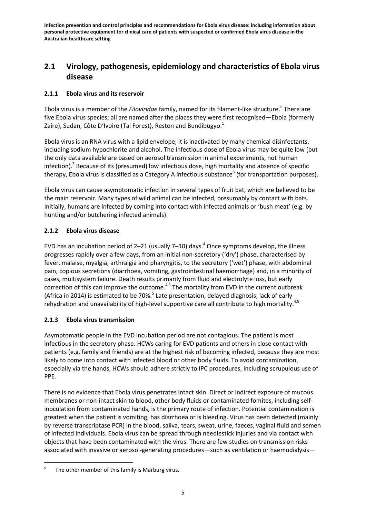## **2.1 Virology, pathogenesis, epidemiology and characteristics of Ebola virus disease**

## **2.1.1 Ebola virus and its reservoir**

Ebola virus is a member of the *Filoviridae* family, named for its filament-like stru[c](#page-11-0)ture.<sup>c</sup> There are five Ebola virus species; all are named after the places they were first recognised—Ebola (formerly Zaire), Sudan, Côte D'Ivoire (Tai Forest), Reston and Bundibugyo.<sup>1</sup>

Ebola virus is an RNA virus with a lipid envelope; it is inactivated by many chemical disinfectants, including sodium hypochlorite and alcohol. The infectious dose of Ebola virus may be quite low (but the only data available are based on aerosol transmission in animal experiments, not human infection).<sup>2</sup> Because of its (presumed) low infectious dose, high mortality and absence of specific therapy, Ebola virus is classified as a Category A infectious substance<sup>3</sup> (for transportation purposes).

Ebola virus can cause asymptomatic infection in several types of fruit bat, which are believed to be the main reservoir. Many types of wild animal can be infected, presumably by contact with bats. Initially, humans are infected by coming into contact with infected animals or 'bush meat' (e.g. by hunting and/or butchering infected animals).

## **2.1.2 Ebola virus disease**

EVD has an incubation period of 2–21 (usually 7–10) days. <sup>4</sup> Once symptoms develop, the illness progresses rapidly over a few days, from an initial non-secretory ('dry') phase, characterised by fever, malaise, myalgia, arthralgia and pharyngitis, to the secretory ('wet') phase, with abdominal pain, copious secretions (diarrhoea, vomiting, gastrointestinal haemorrhage) and, in a minority of cases, multisystem failure. Death results primarily from fluid and electrolyte loss, but early correction of this can improve the outcome.<sup>4,5</sup> The mortality from EVD in the current outbreak (Africa in 2014) is estimated to be 70%.<sup>5</sup> Late presentation, delayed diagnosis, lack of early rehydration and unavailability of high-level supportive care all contribute to high mortality.<sup>4,5</sup>

## **2.1.3 Ebola virus transmission**

Asymptomatic people in the EVD incubation period are not contagious. The patient is most infectious in the secretory phase. HCWs caring for EVD patients and others in close contact with patients (e.g. family and friends) are at the highest risk of becoming infected, because they are most likely to come into contact with infected blood or other body fluids. To avoid contamination, especially via the hands, HCWs should adhere strictly to IPC procedures, including scrupulous use of PPE.

There is no evidence that Ebola virus penetrates intact skin. Direct or indirect exposure of mucous membranes or non-intact skin to blood, other body fluids or contaminated fomites, including selfinoculation from contaminated hands, is the primary route of infection. Potential contamination is greatest when the patient is vomiting, has diarrhoea or is bleeding. Virus has been detected (mainly by reverse transcriptase PCR) in the blood, saliva, tears, sweat, urine, faeces, vaginal fluid and semen of infected individuals. Ebola virus can be spread through needlestick injuries and via contact with objects that have been contaminated with the virus. There are few studies on transmission risks associated with invasive or aerosol-generating procedures—such as ventilation or haemodialysis—

<span id="page-16-0"></span>The other member of this family is Marburg virus.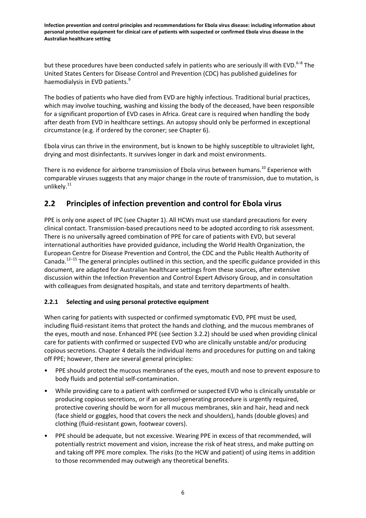but these procedures have been conducted safely in patients who are seriously ill with EVD.<sup>6-8</sup> The United States Centers for Disease Control and Prevention (CDC) has published guidelines for haemodialysis in EVD patients.<sup>9</sup>

The bodies of patients who have died from EVD are highly infectious. Traditional burial practices, which may involve touching, washing and kissing the body of the deceased, have been responsible for a significant proportion of EVD cases in Africa. Great care is required when handling the body after death from EVD in healthcare settings. An autopsy should only be performed in exceptional circumstance (e.g. if ordered by the coroner; see Chapter 6).

Ebola virus can thrive in the environment, but is known to be highly susceptible to ultraviolet light, drying and most disinfectants. It survives longer in dark and moist environments.

There is no evidence for airborne transmission of Ebola virus between humans.<sup>10</sup> Experience with comparable viruses suggests that any major change in the route of transmission, due to mutation, is unlikely.<sup>11</sup>

## **2.2 Principles of infection prevention and control for Ebola virus**

PPE is only one aspect of IPC (see Chapter 1). All HCWs must use standard precautions for every clinical contact. Transmission-based precautions need to be adopted according to risk assessment. There is no universally agreed combination of PPE for care of patients with EVD, but several international authorities have provided guidance, including the World Health Organization, the European Centre for Disease Prevention and Control, the CDC and the Public Health Authority of Canada.<sup>12–15</sup> The general principles outlined in this section, and the specific guidance provided in this document, are adapted for Australian healthcare settings from these sources, after extensive discussion within the Infection Prevention and Control Expert Advisory Group, and in consultation with colleagues from designated hospitals, and state and territory departments of health.

## **2.2.1 Selecting and using personal protective equipment**

When caring for patients with suspected or confirmed symptomatic EVD, PPE must be used, including fluid-resistant items that protect the hands and clothing, and the mucous membranes of the eyes, mouth and nose. Enhanced PPE (see Section 3.2.2) should be used when providing clinical care for patients with confirmed or suspected EVD who are clinically unstable and/or producing copious secretions. Chapter 4 details the individual items and procedures for putting on and taking off PPE; however, there are several general principles:

- PPE should protect the mucous membranes of the eyes, mouth and nose to prevent exposure to body fluids and potential self-contamination.
- While providing care to a patient with confirmed or suspected EVD who is clinically unstable or producing copious secretions, or if an aerosol-generating procedure is urgently required, protective covering should be worn for all mucous membranes, skin and hair, head and neck (face shield or goggles, hood that covers the neck and shoulders), hands (double gloves) and clothing (fluid-resistant gown, footwear covers).
- PPE should be adequate, but not excessive. Wearing PPE in excess of that recommended, will potentially restrict movement and vision, increase the risk of heat stress, and make putting on and taking off PPE more complex. The risks (to the HCW and patient) of using items in addition to those recommended may outweigh any theoretical benefits.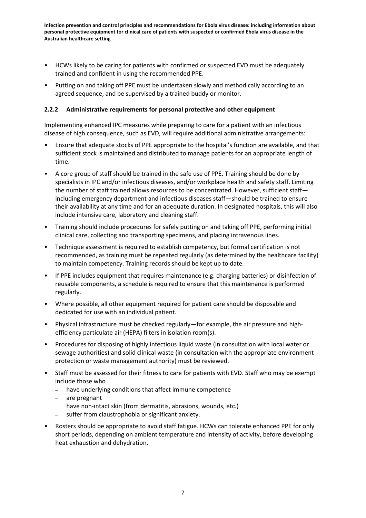- HCWs likely to be caring for patients with confirmed or suspected EVD must be adequately trained and confident in using the recommended PPE.
- Putting on and taking off PPE must be undertaken slowly and methodically according to an agreed sequence, and be supervised by a trained buddy or monitor.

### **2.2.2 Administrative requirements for personal protective and other equipment**

Implementing enhanced IPC measures while preparing to care for a patient with an infectious disease of high consequence, such as EVD, will require additional administrative arrangements:

- Ensure that adequate stocks of PPE appropriate to the hospital's function are available, and that sufficient stock is maintained and distributed to manage patients for an appropriate length of time.
- A core group of staff should be trained in the safe use of PPE. Training should be done by specialists in IPC and/or infectious diseases, and/or workplace health and safety staff. Limiting the number of staff trained allows resources to be concentrated. However, sufficient staff including emergency department and infectious diseases staff—should be trained to ensure their availability at any time and for an adequate duration. In designated hospitals, this will also include intensive care, laboratory and cleaning staff.
- Training should include procedures for safely putting on and taking off PPE, performing initial clinical care, collecting and transporting specimens, and placing intravenous lines.
- Technique assessment is required to establish competency, but formal certification is not recommended, as training must be repeated regularly (as determined by the healthcare facility) to maintain competency. Training records should be kept up to date.
- If PPE includes equipment that requires maintenance (e.g. charging batteries) or disinfection of reusable components, a schedule is required to ensure that this maintenance is performed regularly.
- Where possible, all other equipment required for patient care should be disposable and dedicated for use with an individual patient.
- Physical infrastructure must be checked regularly—for example, the air pressure and highefficiency particulate air (HEPA) filters in isolation room(s).
- Procedures for disposing of highly infectious liquid waste (in consultation with local water or sewage authorities) and solid clinical waste (in consultation with the appropriate environment protection or waste management authority) must be reviewed.
- Staff must be assessed for their fitness to care for patients with EVD. Staff who may be exempt include those who
	- have underlying conditions that affect immune competence
	- are pregnant
	- have non-intact skin (from dermatitis, abrasions, wounds, etc.)
	- suffer from claustrophobia or significant anxiety.
- Rosters should be appropriate to avoid staff fatigue. HCWs can tolerate enhanced PPE for only short periods, depending on ambient temperature and intensity of activity, before developing heat exhaustion and dehydration.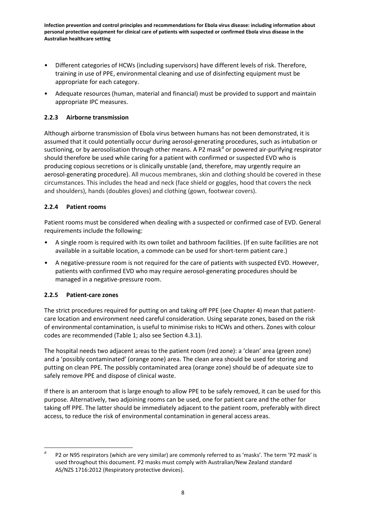- Different categories of HCWs (including supervisors) have different levels of risk. Therefore, training in use of PPE, environmental cleaning and use of disinfecting equipment must be appropriate for each category.
- Adequate resources (human, material and financial) must be provided to support and maintain appropriate IPC measures.

## **2.2.3 Airborne transmission**

Although airborne transmission of Ebola virus between humans has not been demonstrated, it is assumed that it could potentially occur during aerosol-generating procedures, such as intubation or suctioning, or by aerosolisation through other means. A P2 mask<sup>[d](#page-16-0)</sup> or powered air-purifying respirator should therefore be used while caring for a patient with confirmed or suspected EVD who is producing copious secretions or is clinically unstable (and, therefore, may urgently require an aerosol-generating procedure). All mucous membranes, skin and clothing should be covered in these circumstances. This includes the head and neck (face shield or goggles, hood that covers the neck and shoulders), hands (doubles gloves) and clothing (gown, footwear covers).

## **2.2.4 Patient rooms**

Patient rooms must be considered when dealing with a suspected or confirmed case of EVD. General requirements include the following:

- A single room is required with its own toilet and bathroom facilities. (If en suite facilities are not available in a suitable location, a commode can be used for short-term patient care.)
- A negative-pressure room is not required for the care of patients with suspected EVD. However, patients with confirmed EVD who may require aerosol-generating procedures should be managed in a negative-pressure room.

## **2.2.5 Patient-care zones**

The strict procedures required for putting on and taking off PPE (see Chapter 4) mean that patientcare location and environment need careful consideration. Using separate zones, based on the risk of environmental contamination, is useful to minimise risks to HCWs and others. Zones with colour codes are recommended (Table 1; also see Section 4.3.1).

The hospital needs two adjacent areas to the patient room (red zone): a 'clean' area (green zone) and a 'possibly contaminated' (orange zone) area. The clean area should be used for storing and putting on clean PPE. The possibly contaminated area (orange zone) should be of adequate size to safely remove PPE and dispose of clinical waste.

If there is an anteroom that is large enough to allow PPE to be safely removed, it can be used for this purpose. Alternatively, two adjoining rooms can be used, one for patient care and the other for taking off PPE. The latter should be immediately adjacent to the patient room, preferably with direct access, to reduce the risk of environmental contamination in general access areas.

<span id="page-19-0"></span><sup>&</sup>lt;sup>d</sup> P2 or N95 respirators (which are very similar) are commonly referred to as 'masks'. The term 'P2 mask' is used throughout this document. P2 masks must comply with Australian/New Zealand standard AS/NZS 1716:2012 (Respiratory protective devices).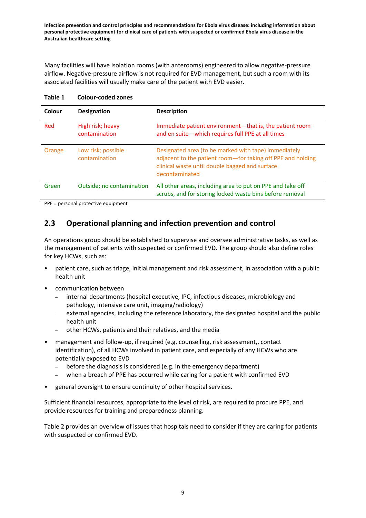Many facilities will have isolation rooms (with anterooms) engineered to allow negative-pressure airflow. Negative-pressure airflow is not required for EVD management, but such a room with its associated facilities will usually make care of the patient with EVD easier.

| Colour | <b>Designation</b>                  | <b>Description</b>                                                                                                                                                                      |
|--------|-------------------------------------|-----------------------------------------------------------------------------------------------------------------------------------------------------------------------------------------|
| Red    | High risk; heavy<br>contamination   | Immediate patient environment-that is, the patient room<br>and en suite-which requires full PPE at all times                                                                            |
| Orange | Low risk; possible<br>contamination | Designated area (to be marked with tape) immediately<br>adjacent to the patient room-for taking off PPE and holding<br>clinical waste until double bagged and surface<br>decontaminated |
| Green  | Outside; no contamination           | All other areas, including area to put on PPE and take off<br>scrubs, and for storing locked waste bins before removal                                                                  |

**Table 1 Colour-coded zones**

PPE = personal protective equipment

## **2.3 Operational planning and infection prevention and control**

An operations group should be established to supervise and oversee administrative tasks, as well as the management of patients with suspected or confirmed EVD. The group should also define roles for key HCWs, such as:

- patient care, such as triage, initial management and risk assessment, in association with a public health unit
- communication between
	- internal departments (hospital executive, IPC, infectious diseases, microbiology and pathology, intensive care unit, imaging/radiology)
	- external agencies, including the reference laboratory, the designated hospital and the public health unit
	- other HCWs, patients and their relatives, and the media
- management and follow-up, if required (e.g. counselling, risk assessment,, contact identification), of all HCWs involved in patient care, and especially of any HCWs who are potentially exposed to EVD
	- before the diagnosis is considered (e.g. in the emergency department)
	- when a breach of PPE has occurred while caring for a patient with confirmed EVD
- general oversight to ensure continuity of other hospital services.

Sufficient financial resources, appropriate to the level of risk, are required to procure PPE, and provide resources for training and preparedness planning.

Table 2 provides an overview of issues that hospitals need to consider if they are caring for patients with suspected or confirmed EVD.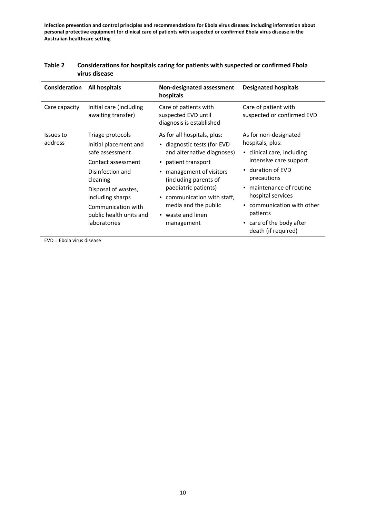| Consideration        | All hospitals                                                                                                                                                                                                                  | Non-designated assessment<br>hospitals                                                                                                                                                                                                                                                                     | <b>Designated hospitals</b>                                                                                                                                                                                                                                                     |
|----------------------|--------------------------------------------------------------------------------------------------------------------------------------------------------------------------------------------------------------------------------|------------------------------------------------------------------------------------------------------------------------------------------------------------------------------------------------------------------------------------------------------------------------------------------------------------|---------------------------------------------------------------------------------------------------------------------------------------------------------------------------------------------------------------------------------------------------------------------------------|
| Care capacity        | Initial care (including<br>awaiting transfer)                                                                                                                                                                                  | Care of patients with<br>suspected EVD until<br>diagnosis is established                                                                                                                                                                                                                                   | Care of patient with<br>suspected or confirmed EVD                                                                                                                                                                                                                              |
| Issues to<br>address | Triage protocols<br>Initial placement and<br>safe assessment<br>Contact assessment<br>Disinfection and<br>cleaning<br>Disposal of wastes,<br>including sharps<br>Communication with<br>public health units and<br>laboratories | As for all hospitals, plus:<br>• diagnostic tests (for EVD<br>and alternative diagnoses)<br>patient transport<br>$\bullet$<br>management of visitors<br>(including parents of<br>paediatric patients)<br>communication with staff,<br>$\bullet$<br>media and the public<br>• waste and linen<br>management | As for non-designated<br>hospitals, plus:<br>• clinical care, including<br>intensive care support<br>• duration of EVD<br>precautions<br>maintenance of routine<br>hospital services<br>communication with other<br>patients<br>• care of the body after<br>death (if required) |

#### **Table 2 Considerations for hospitals caring for patients with suspected or confirmed Ebola virus disease**

EVD = Ebola virus disease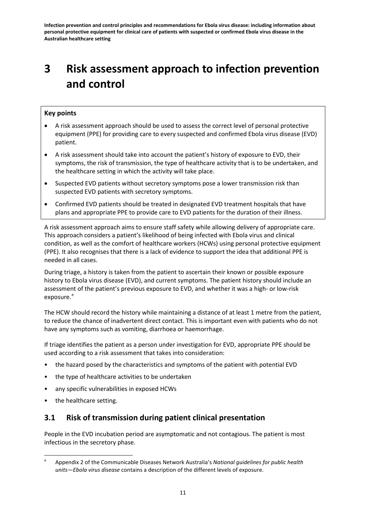# **3 Risk assessment approach to infection prevention and control**

## **Key points**

- A risk assessment approach should be used to assess the correct level of personal protective equipment (PPE) for providing care to every suspected and confirmed Ebola virus disease (EVD) patient.
- A risk assessment should take into account the patient's history of exposure to EVD, their symptoms, the risk of transmission, the type of healthcare activity that is to be undertaken, and the healthcare setting in which the activity will take place.
- Suspected EVD patients without secretory symptoms pose a lower transmission risk than suspected EVD patients with secretory symptoms.
- Confirmed EVD patients should be treated in designated EVD treatment hospitals that have plans and appropriate PPE to provide care to EVD patients for the duration of their illness.

A risk assessment approach aims to ensure staff safety while allowing delivery of appropriate care. This approach considers a patient's likelihood of being infected with Ebola virus and clinical condition, as well as the comfort of healthcare workers (HCWs) using personal protective equipment (PPE). It also recognises that there is a lack of evidence to support the idea that additional PPE is needed in all cases.

During triage, a history is taken from the patient to ascertain their known or possible exposure history to Ebola virus disease (EVD), and current symptoms. The patient history should include an assessment of the patient's previous exposure to EVD, and whether it was a high- or low-risk [e](#page-19-0)xposure.<sup>e</sup>

The HCW should record the history while maintaining a distance of at least 1 metre from the patient, to reduce the chance of inadvertent direct contact. This is important even with patients who do not have any symptoms such as vomiting, diarrhoea or haemorrhage.

If triage identifies the patient as a person under investigation for EVD, appropriate PPE should be used according to a risk assessment that takes into consideration:

- the hazard posed by the characteristics and symptoms of the patient with potential EVD
- the type of healthcare activities to be undertaken
- any specific vulnerabilities in exposed HCWs
- the healthcare setting.

## **3.1 Risk of transmission during patient clinical presentation**

People in the EVD incubation period are asymptomatic and not contagious. The patient is most infectious in the secretory phase.

<span id="page-22-0"></span>e Appendix 2 of the Communicable Diseases Network Australia's *National guidelines for public health units—Ebola virus disease* contains a description of the different levels of exposure.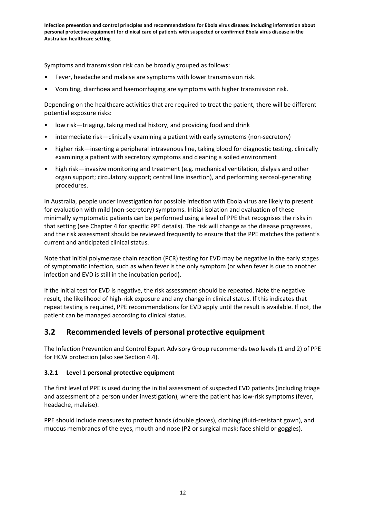Symptoms and transmission risk can be broadly grouped as follows:

- Fever, headache and malaise are symptoms with lower transmission risk.
- Vomiting, diarrhoea and haemorrhaging are symptoms with higher transmission risk.

Depending on the healthcare activities that are required to treat the patient, there will be different potential exposure risks:

- low risk—triaging, taking medical history, and providing food and drink
- intermediate risk—clinically examining a patient with early symptoms (non-secretory)
- higher risk—inserting a peripheral intravenous line, taking blood for diagnostic testing, clinically examining a patient with secretory symptoms and cleaning a soiled environment
- high risk—invasive monitoring and treatment (e.g. mechanical ventilation, dialysis and other organ support; circulatory support; central line insertion), and performing aerosol-generating procedures.

In Australia, people under investigation for possible infection with Ebola virus are likely to present for evaluation with mild (non-secretory) symptoms. Initial isolation and evaluation of these minimally symptomatic patients can be performed using a level of PPE that recognises the risks in that setting (see Chapter 4 for specific PPE details). The risk will change as the disease progresses, and the risk assessment should be reviewed frequently to ensure that the PPE matches the patient's current and anticipated clinical status.

Note that initial polymerase chain reaction (PCR) testing for EVD may be negative in the early stages of symptomatic infection, such as when fever is the only symptom (or when fever is due to another infection and EVD is still in the incubation period).

If the initial test for EVD is negative, the risk assessment should be repeated. Note the negative result, the likelihood of high-risk exposure and any change in clinical status. If this indicates that repeat testing is required, PPE recommendations for EVD apply until the result is available. If not, the patient can be managed according to clinical status.

## **3.2 Recommended levels of personal protective equipment**

The Infection Prevention and Control Expert Advisory Group recommends two levels (1 and 2) of PPE for HCW protection (also see Section 4.4).

## **3.2.1 Level 1 personal protective equipment**

The first level of PPE is used during the initial assessment of suspected EVD patients (including triage and assessment of a person under investigation), where the patient has low-risk symptoms (fever, headache, malaise).

PPE should include measures to protect hands (double gloves), clothing (fluid-resistant gown), and mucous membranes of the eyes, mouth and nose (P2 or surgical mask; face shield or goggles).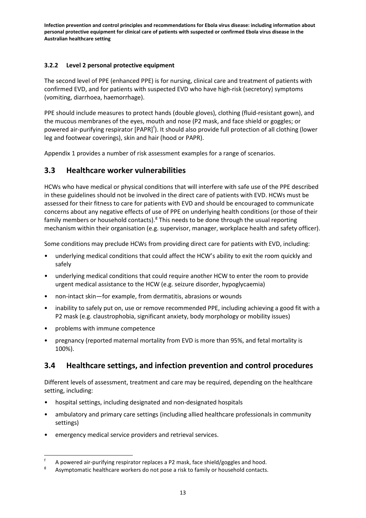## **3.2.2 Level 2 personal protective equipment**

The second level of PPE (enhanced PPE) is for nursing, clinical care and treatment of patients with confirmed EVD, and for patients with suspected EVD who have high-risk (secretory) symptoms (vomiting, diarrhoea, haemorrhage).

PPE should include measures to protect hands (double gloves), clothing (fluid-resistant gown), and the mucous membranes of the eyes, mouth and nose (P2 mask, and face shield or goggles; or powered air-puri[f](#page-22-0)ying respirator [PAPR]<sup>f</sup>). It should also provide full protection of all clothing (lower leg and footwear coverings), skin and hair (hood or PAPR).

Appendix 1 provides a number of risk assessment examples for a range of scenarios.

## **3.3 Healthcare worker vulnerabilities**

HCWs who have medical or physical conditions that will interfere with safe use of the PPE described in these guidelines should not be involved in the direct care of patients with EVD. HCWs must be assessed for their fitness to care for patients with EVD and should be encouraged to communicate concerns about any negative effects of use of PPE on underlying health conditions (or those of their family members or household contacts).<sup>8</sup> This needs to be done throu[g](#page-24-0)h the usual reporting mechanism within their organisation (e.g. supervisor, manager, workplace health and safety officer).

Some conditions may preclude HCWs from providing direct care for patients with EVD, including:

- underlying medical conditions that could affect the HCW's ability to exit the room quickly and safely
- underlying medical conditions that could require another HCW to enter the room to provide urgent medical assistance to the HCW (e.g. seizure disorder, hypoglycaemia)
- non-intact skin—for example, from dermatitis, abrasions or wounds
- inability to safely put on, use or remove recommended PPE, including achieving a good fit with a P2 mask (e.g. claustrophobia, significant anxiety, body morphology or mobility issues)
- problems with immune competence
- pregnancy (reported maternal mortality from EVD is more than 95%, and fetal mortality is 100%).

## **3.4 Healthcare settings, and infection prevention and control procedures**

Different levels of assessment, treatment and care may be required, depending on the healthcare setting, including:

- hospital settings, including designated and non-designated hospitals
- ambulatory and primary care settings (including allied healthcare professionals in community settings)
- emergency medical service providers and retrieval services.

A powered air-purifying respirator replaces a P2 mask, face shield/goggles and hood.<br>Asymptomatic healthcare workers do not pose a risk to family or household contacts.

<span id="page-24-1"></span><span id="page-24-0"></span>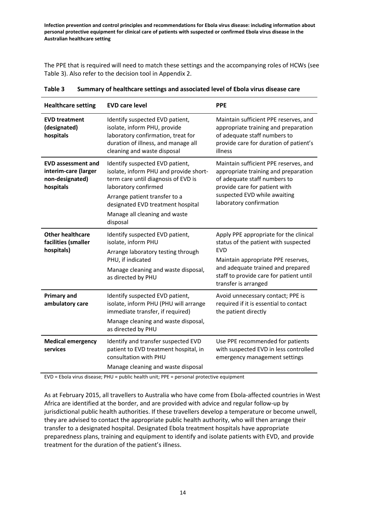The PPE that is required will need to match these settings and the accompanying roles of HCWs (see Table 3). Also refer to the decision tool in Appendix 2.

| <b>Healthcare setting</b>                                                         | <b>EVD care level</b>                                                                                                                                                                                                                                       | <b>PPE</b>                                                                                                                                                                                                                          |
|-----------------------------------------------------------------------------------|-------------------------------------------------------------------------------------------------------------------------------------------------------------------------------------------------------------------------------------------------------------|-------------------------------------------------------------------------------------------------------------------------------------------------------------------------------------------------------------------------------------|
| <b>EVD treatment</b><br>(designated)<br>hospitals                                 | Identify suspected EVD patient,<br>isolate, inform PHU, provide<br>laboratory confirmation, treat for<br>duration of illness, and manage all<br>cleaning and waste disposal                                                                                 | Maintain sufficient PPE reserves, and<br>appropriate training and preparation<br>of adequate staff numbers to<br>provide care for duration of patient's<br>illness                                                                  |
| <b>EVD assessment and</b><br>interim-care (larger<br>non-designated)<br>hospitals | Identify suspected EVD patient,<br>isolate, inform PHU and provide short-<br>term care until diagnosis of EVD is<br>laboratory confirmed<br>Arrange patient transfer to a<br>designated EVD treatment hospital<br>Manage all cleaning and waste<br>disposal | Maintain sufficient PPE reserves, and<br>appropriate training and preparation<br>of adequate staff numbers to<br>provide care for patient with<br>suspected EVD while awaiting<br>laboratory confirmation                           |
| <b>Other healthcare</b><br>facilities (smaller<br>hospitals)                      | Identify suspected EVD patient,<br>isolate, inform PHU<br>Arrange laboratory testing through<br>PHU, if indicated<br>Manage cleaning and waste disposal,<br>as directed by PHU                                                                              | Apply PPE appropriate for the clinical<br>status of the patient with suspected<br>EVD<br>Maintain appropriate PPE reserves,<br>and adequate trained and prepared<br>staff to provide care for patient until<br>transfer is arranged |
| <b>Primary and</b><br>ambulatory care                                             | Identify suspected EVD patient,<br>isolate, inform PHU (PHU will arrange<br>immediate transfer, if required)<br>Manage cleaning and waste disposal,<br>as directed by PHU                                                                                   | Avoid unnecessary contact; PPE is<br>required if it is essential to contact<br>the patient directly                                                                                                                                 |
| <b>Medical emergency</b><br>services                                              | Identify and transfer suspected EVD<br>patient to EVD treatment hospital, in<br>consultation with PHU<br>Manage cleaning and waste disposal                                                                                                                 | Use PPE recommended for patients<br>with suspected EVD in less controlled<br>emergency management settings                                                                                                                          |

**Table 3 Summary of healthcare settings and associated level of Ebola virus disease care**

EVD = Ebola virus disease; PHU = public health unit; PPE = personal protective equipment

As at February 2015, all travellers to Australia who have come from Ebola-affected countries in West Africa are identified at the border, and are provided with advice and regular follow-up by jurisdictional public health authorities. If these travellers develop a temperature or become unwell, they are advised to contact the appropriate public health authority, who will then arrange their transfer to a designated hospital. Designated Ebola treatment hospitals have appropriate preparedness plans, training and equipment to identify and isolate patients with EVD, and provide treatment for the duration of the patient's illness.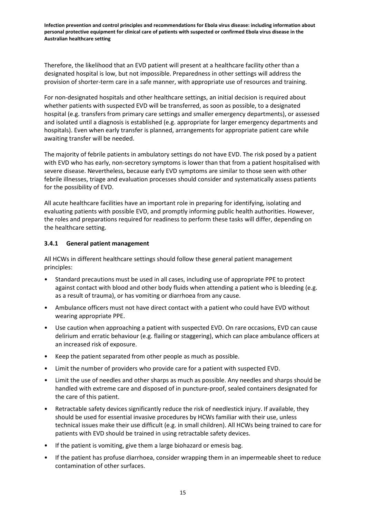Therefore, the likelihood that an EVD patient will present at a healthcare facility other than a designated hospital is low, but not impossible. Preparedness in other settings will address the provision of shorter-term care in a safe manner, with appropriate use of resources and training.

For non-designated hospitals and other healthcare settings, an initial decision is required about whether patients with suspected EVD will be transferred, as soon as possible, to a designated hospital (e.g. transfers from primary care settings and smaller emergency departments), or assessed and isolated until a diagnosis is established (e.g. appropriate for larger emergency departments and hospitals). Even when early transfer is planned, arrangements for appropriate patient care while awaiting transfer will be needed.

The majority of febrile patients in ambulatory settings do not have EVD. The risk posed by a patient with EVD who has early, non-secretory symptoms is lower than that from a patient hospitalised with severe disease. Nevertheless, because early EVD symptoms are similar to those seen with other febrile illnesses, triage and evaluation processes should consider and systematically assess patients for the possibility of EVD.

All acute healthcare facilities have an important role in preparing for identifying, isolating and evaluating patients with possible EVD, and promptly informing public health authorities. However, the roles and preparations required for readiness to perform these tasks will differ, depending on the healthcare setting.

### **3.4.1 General patient management**

All HCWs in different healthcare settings should follow these general patient management principles:

- Standard precautions must be used in all cases, including use of appropriate PPE to protect against contact with blood and other body fluids when attending a patient who is bleeding (e.g. as a result of trauma), or has vomiting or diarrhoea from any cause.
- Ambulance officers must not have direct contact with a patient who could have EVD without wearing appropriate PPE.
- Use caution when approaching a patient with suspected EVD. On rare occasions, EVD can cause delirium and erratic behaviour (e.g. flailing or staggering), which can place ambulance officers at an increased risk of exposure.
- Keep the patient separated from other people as much as possible.
- Limit the number of providers who provide care for a patient with suspected EVD.
- Limit the use of needles and other sharps as much as possible. Any needles and sharps should be handled with extreme care and disposed of in puncture-proof, sealed containers designated for the care of this patient.
- Retractable safety devices significantly reduce the risk of needlestick injury. If available, they should be used for essential invasive procedures by HCWs familiar with their use, unless technical issues make their use difficult (e.g. in small children). All HCWs being trained to care for patients with EVD should be trained in using retractable safety devices.
- If the patient is vomiting, give them a large biohazard or emesis bag.
- If the patient has profuse diarrhoea, consider wrapping them in an impermeable sheet to reduce contamination of other surfaces.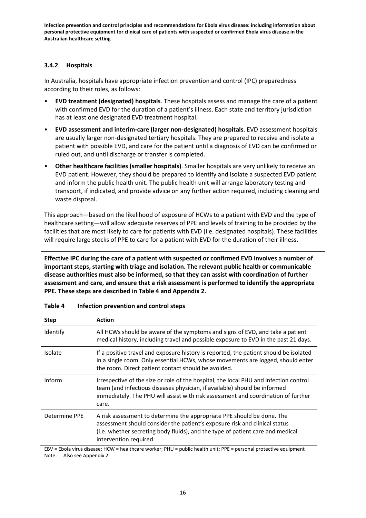### **3.4.2 Hospitals**

In Australia, hospitals have appropriate infection prevention and control (IPC) preparedness according to their roles, as follows:

- **EVD treatment (designated) hospitals**. These hospitals assess and manage the care of a patient with confirmed EVD for the duration of a patient's illness. Each state and territory jurisdiction has at least one designated EVD treatment hospital.
- **EVD assessment and interim-care (larger non-designated) hospitals**. EVD assessment hospitals are usually larger non-designated tertiary hospitals. They are prepared to receive and isolate a patient with possible EVD, and care for the patient until a diagnosis of EVD can be confirmed or ruled out, and until discharge or transfer is completed.
- **Other healthcare facilities (smaller hospitals)**. Smaller hospitals are very unlikely to receive an EVD patient. However, they should be prepared to identify and isolate a suspected EVD patient and inform the public health unit. The public health unit will arrange laboratory testing and transport, if indicated, and provide advice on any further action required, including cleaning and waste disposal.

This approach—based on the likelihood of exposure of HCWs to a patient with EVD and the type of healthcare setting—will allow adequate reserves of PPE and levels of training to be provided by the facilities that are most likely to care for patients with EVD (i.e. designated hospitals). These facilities will require large stocks of PPE to care for a patient with EVD for the duration of their illness.

**Effective IPC during the care of a patient with suspected or confirmed EVD involves a number of important steps, starting with triage and isolation. The relevant public health or communicable disease authorities must also be informed, so that they can assist with coordination of further assessment and care, and ensure that a risk assessment is performed to identify the appropriate PPE. These steps are described in Table 4 and Appendix 2.**

| <b>Step</b>   | <b>Action</b>                                                                                                                                                                                                                                                    |
|---------------|------------------------------------------------------------------------------------------------------------------------------------------------------------------------------------------------------------------------------------------------------------------|
| Identify      | All HCWs should be aware of the symptoms and signs of EVD, and take a patient<br>medical history, including travel and possible exposure to EVD in the past 21 days.                                                                                             |
| Isolate       | If a positive travel and exposure history is reported, the patient should be isolated<br>in a single room. Only essential HCWs, whose movements are logged, should enter<br>the room. Direct patient contact should be avoided.                                  |
| Inform        | Irrespective of the size or role of the hospital, the local PHU and infection control<br>team (and infectious diseases physician, if available) should be informed<br>immediately. The PHU will assist with risk assessment and coordination of further<br>care. |
| Determine PPE | A risk assessment to determine the appropriate PPE should be done. The<br>assessment should consider the patient's exposure risk and clinical status<br>(i.e. whether secreting body fluids), and the type of patient care and medical<br>intervention required. |

#### **Table 4 Infection prevention and control steps**

EBV = Ebola virus disease; HCW = healthcare worker; PHU = public health unit; PPE = personal protective equipment Note: Also see Appendix 2.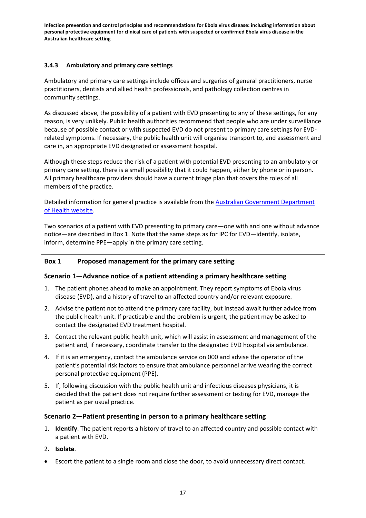### **3.4.3 Ambulatory and primary care settings**

Ambulatory and primary care settings include offices and surgeries of general practitioners, nurse practitioners, dentists and allied health professionals, and pathology collection centres in community settings.

As discussed above, the possibility of a patient with EVD presenting to any of these settings, for any reason, is very unlikely. Public health authorities recommend that people who are under surveillance because of possible contact or with suspected EVD do not present to primary care settings for EVDrelated symptoms. If necessary, the public health unit will organise transport to, and assessment and care in, an appropriate EVD designated or assessment hospital.

Although these steps reduce the risk of a patient with potential EVD presenting to an ambulatory or primary care setting, there is a small possibility that it could happen, either by phone or in person. All primary healthcare providers should have a current triage plan that covers the roles of all members of the practice.

Detailed information for general practice is available from th[e Australian Government Department](http://health.gov.au/internet/main/publishing.nsf/Content/ohp-ebola-gps.htm)  [of Health website.](http://health.gov.au/internet/main/publishing.nsf/Content/ohp-ebola-gps.htm)

Two scenarios of a patient with EVD presenting to primary care—one with and one without advance notice—are described in Box 1. Note that the same steps as for IPC for EVD—identify, isolate, inform, determine PPE—apply in the primary care setting.

## **Box 1 Proposed management for the primary care setting**

## **Scenario 1—Advance notice of a patient attending a primary healthcare setting**

- 1. The patient phones ahead to make an appointment. They report symptoms of Ebola virus disease (EVD), and a history of travel to an affected country and/or relevant exposure.
- 2. Advise the patient not to attend the primary care facility, but instead await further advice from the public health unit. If practicable and the problem is urgent, the patient may be asked to contact the designated EVD treatment hospital.
- 3. Contact the relevant public health unit, which will assist in assessment and management of the patient and, if necessary, coordinate transfer to the designated EVD hospital via ambulance.
- 4. If it is an emergency, contact the ambulance service on 000 and advise the operator of the patient's potential risk factors to ensure that ambulance personnel arrive wearing the correct personal protective equipment (PPE).
- 5. If, following discussion with the public health unit and infectious diseases physicians, it is decided that the patient does not require further assessment or testing for EVD, manage the patient as per usual practice.

## **Scenario 2—Patient presenting in person to a primary healthcare setting**

- 1. **Identify**. The patient reports a history of travel to an affected country and possible contact with a patient with EVD.
- 2. **Isolate**.
- Escort the patient to a single room and close the door, to avoid unnecessary direct contact.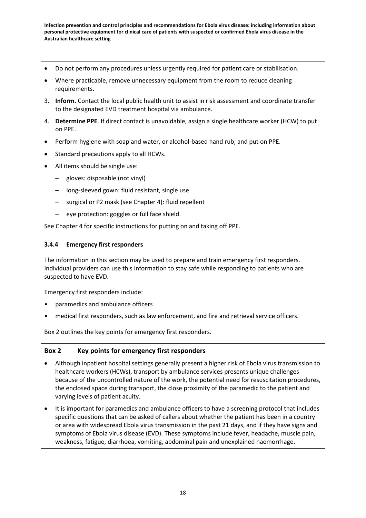- Do not perform any procedures unless urgently required for patient care or stabilisation.
- Where practicable, remove unnecessary equipment from the room to reduce cleaning requirements.
- 3. **Inform.** Contact the local public health unit to assist in risk assessment and coordinate transfer to the designated EVD treatment hospital via ambulance.
- 4. **Determine PPE**. If direct contact is unavoidable, assign a single healthcare worker (HCW) to put on PPE.
- Perform hygiene with soap and water, or alcohol-based hand rub, and put on PPE.
- Standard precautions apply to all HCWs.
- All items should be single use:
	- gloves: disposable (not vinyl)
	- long-sleeved gown: fluid resistant, single use
	- surgical or P2 mask (see Chapter 4): fluid repellent
	- eye protection: goggles or full face shield.

See Chapter 4 for specific instructions for putting on and taking off PPE.

## **3.4.4 Emergency first responders**

The information in this section may be used to prepare and train emergency first responders. Individual providers can use this information to stay safe while responding to patients who are suspected to have EVD.

Emergency first responders include:

- paramedics and ambulance officers
- medical first responders, such as law enforcement, and fire and retrieval service officers.

Box 2 outlines the key points for emergency first responders.

## **Box 2 Key points for emergency first responders**

- Although inpatient hospital settings generally present a higher risk of Ebola virus transmission to healthcare workers (HCWs), transport by ambulance services presents unique challenges because of the uncontrolled nature of the work, the potential need for resuscitation procedures, the enclosed space during transport, the close proximity of the paramedic to the patient and varying levels of patient acuity.
- It is important for paramedics and ambulance officers to have a screening protocol that includes specific questions that can be asked of callers about whether the patient has been in a country or area with widespread Ebola virus transmission in the past 21 days, and if they have signs and symptoms of Ebola virus disease (EVD). These symptoms include fever, headache, muscle pain, weakness, fatigue, diarrhoea, vomiting, abdominal pain and unexplained haemorrhage.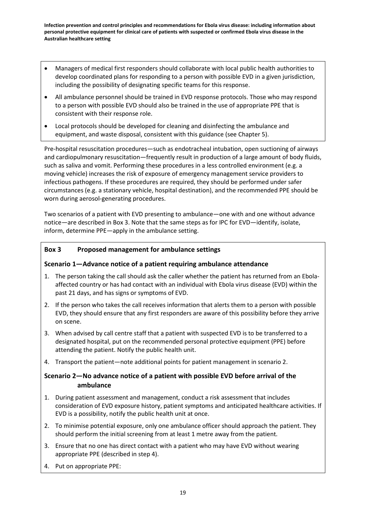- Managers of medical first responders should collaborate with local public health authorities to develop coordinated plans for responding to a person with possible EVD in a given jurisdiction, including the possibility of designating specific teams for this response.
- All ambulance personnel should be trained in EVD response protocols. Those who may respond to a person with possible EVD should also be trained in the use of appropriate PPE that is consistent with their response role.
- Local protocols should be developed for cleaning and disinfecting the ambulance and equipment, and waste disposal, consistent with this guidance (see Chapter 5).

Pre-hospital resuscitation procedures—such as endotracheal intubation, open suctioning of airways and cardiopulmonary resuscitation—frequently result in production of a large amount of body fluids, such as saliva and vomit. Performing these procedures in a less controlled environment (e.g. a moving vehicle) increases the risk of exposure of emergency management service providers to infectious pathogens. If these procedures are required, they should be performed under safer circumstances (e.g. a stationary vehicle, hospital destination), and the [recommended PPE should be](http://www.cdc.gov/vhf/ebola/hcp/procedures-for-ppe.html)  [worn during aerosol-generating procedures.](http://www.cdc.gov/vhf/ebola/hcp/procedures-for-ppe.html)

Two scenarios of a patient with EVD presenting to ambulance—one with and one without advance notice—are described in Box 3. Note that the same steps as for IPC for EVD—identify, isolate, inform, determine PPE—apply in the ambulance setting.

## **Box 3 Proposed management for ambulance settings**

## **Scenario 1—Advance notice of a patient requiring ambulance attendance**

- 1. The person taking the call should ask the caller whether the patient has returned from an Ebolaaffected country or has had contact with an individual with Ebola virus disease (EVD) within the past 21 days, and has signs or symptoms of EVD.
- 2. If the person who takes the call receives information that alerts them to a person with possible EVD, they should ensure that any first responders are aware of this possibility before they arrive on scene.
- 3. When advised by call centre staff that a patient with suspected EVD is to be transferred to a designated hospital, put on the recommended personal protective equipment (PPE) before attending the patient. Notify the public health unit.
- 4. Transport the patient—note additional points for patient management in scenario 2.

## **Scenario 2—No advance notice of a patient with possible EVD before arrival of the ambulance**

- 1. During patient assessment and management, conduct a risk assessment that includes consideration of EVD exposure history, patient symptoms and anticipated healthcare activities. If EVD is a possibility, notify the public health unit at once.
- 2. To minimise potential exposure, only one ambulance officer should approach the patient. They should perform the initial screening from at least 1 metre away from the patient.
- 3. Ensure that no one has direct contact with a patient who may have EVD without wearing appropriate PPE (described in step 4).
- 4. Put on appropriate PPE: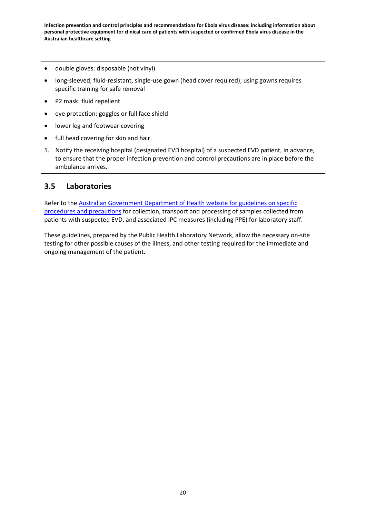- double gloves: disposable (not vinyl)
- long-sleeved, fluid-resistant, single-use gown (head cover required); using gowns requires specific training for safe removal
- P2 mask: fluid repellent
- eye protection: goggles or full face shield
- lower leg and footwear covering
- full head covering for skin and hair.
- 5. Notify the receiving hospital (designated EVD hospital) of a suspected EVD patient, in advance, to ensure that the proper infection prevention and control precautions are in place before the ambulance arrives.

## **3.5 Laboratories**

Refer to the [Australian Government Department of Health](http://health.gov.au/internet/main/publishing.nsf/Content/cda-pubs-other-vhf.htm) website for guidelines on specific [procedures and precautions](http://health.gov.au/internet/main/publishing.nsf/Content/cda-pubs-other-vhf.htm) for collection, transport and processing of samples collected from patients with suspected EVD, and associated IPC measures (including PPE) for laboratory staff.

These guidelines, prepared by the Public Health Laboratory Network, allow the necessary on-site testing for other possible causes of the illness, and other testing required for the immediate and ongoing management of the patient.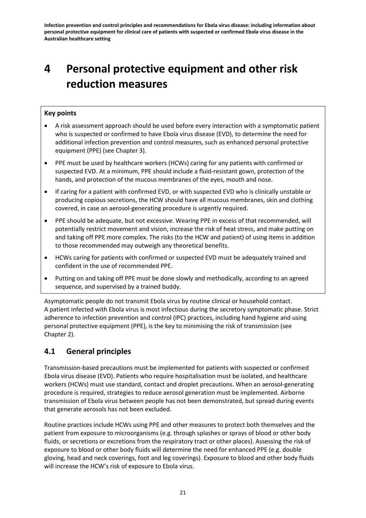# **4 Personal protective equipment and other risk reduction measures**

## **Key points**

- A risk assessment approach should be used before every interaction with a symptomatic patient who is suspected or confirmed to have Ebola virus disease (EVD), to determine the need for additional infection prevention and control measures, such as enhanced personal protective equipment (PPE) (see Chapter 3).
- PPE must be used by healthcare workers (HCWs) caring for any patients with confirmed or suspected EVD. At a minimum, PPE should include a fluid-resistant gown, protection of the hands, and protection of the mucous membranes of the eyes, mouth and nose.
- If caring for a patient with confirmed EVD, or with suspected EVD who is clinically unstable or producing copious secretions, the HCW should have all mucous membranes, skin and clothing covered, in case an aerosol-generating procedure is urgently required.
- PPE should be adequate, but not excessive. Wearing PPE in excess of that recommended, will potentially restrict movement and vision, increase the risk of heat stress, and make putting on and taking off PPE more complex. The risks (to the HCW and patient) of using items in addition to those recommended may outweigh any theoretical benefits.
- HCWs caring for patients with confirmed or suspected EVD must be adequately trained and confident in the use of recommended PPE.
- Putting on and taking off PPE must be done slowly and methodically, according to an agreed sequence, and supervised by a trained buddy.

Asymptomatic people do not transmit Ebola virus by routine clinical or household contact. A patient infected with Ebola virus is most infectious during the secretory symptomatic phase. Strict adherence to infection prevention and control (IPC) practices, including hand hygiene and using personal protective equipment (PPE), is the key to minimising the risk of transmission (see Chapter 2).

## **4.1 General principles**

Transmission-based precautions must be implemented for patients with suspected or confirmed Ebola virus disease (EVD). Patients who require hospitalisation must be isolated, and healthcare workers (HCWs) must use standard, contact and droplet precautions. When an aerosol-generating procedure is required, strategies to reduce aerosol generation must be implemented. Airborne transmission of Ebola virus between people has not been demonstrated, but spread during events that generate aerosols has not been excluded.

Routine practices include HCWs using PPE and other measures to protect both themselves and the patient from exposure to microorganisms (e.g. through splashes or sprays of blood or other body fluids, or secretions or excretions from the respiratory tract or other places). Assessing the risk of exposure to blood or other body fluids will determine the need for enhanced PPE (e.g. double gloving, head and neck coverings, foot and leg coverings). Exposure to blood and other body fluids will increase the HCW's risk of exposure to Ebola virus.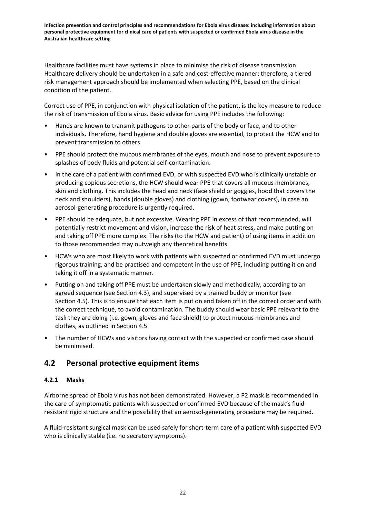Healthcare facilities must have systems in place to minimise the risk of disease transmission. Healthcare delivery should be undertaken in a safe and cost-effective manner; therefore, a tiered risk management approach should be implemented when selecting PPE, based on the clinical condition of the patient.

Correct use of PPE, in conjunction with physical isolation of the patient, is the key measure to reduce the risk of transmission of Ebola virus. Basic advice for using PPE includes the following:

- Hands are known to transmit pathogens to other parts of the body or face, and to other individuals. Therefore, hand hygiene and double gloves are essential, to protect the HCW and to prevent transmission to others.
- PPE should protect the mucous membranes of the eyes, mouth and nose to prevent exposure to splashes of body fluids and potential self-contamination.
- In the care of a patient with confirmed EVD, or with suspected EVD who is clinically unstable or producing copious secretions, the HCW should wear PPE that covers all mucous membranes, skin and clothing. This includes the head and neck (face shield or goggles, hood that covers the neck and shoulders), hands (double gloves) and clothing (gown, footwear covers), in case an aerosol-generating procedure is urgently required.
- PPE should be adequate, but not excessive. Wearing PPE in excess of that recommended, will potentially restrict movement and vision, increase the risk of heat stress, and make putting on and taking off PPE more complex. The risks (to the HCW and patient) of using items in addition to those recommended may outweigh any theoretical benefits.
- HCWs who are most likely to work with patients with suspected or confirmed EVD must undergo rigorous training, and be practised and competent in the use of PPE, including putting it on and taking it off in a systematic manner.
- Putting on and taking off PPE must be undertaken slowly and methodically, according to an agreed sequence (see Section 4.3), and supervised by a trained buddy or monitor (see Section 4.5). This is to ensure that each item is put on and taken off in the correct order and with the correct technique, to avoid contamination. The buddy should wear basic PPE relevant to the task they are doing (i.e. gown, gloves and face shield) to protect mucous membranes and clothes, as outlined in Section 4.5.
- The number of HCWs and visitors having contact with the suspected or confirmed case should be minimised.

## **4.2 Personal protective equipment items**

## **4.2.1 Masks**

Airborne spread of Ebola virus has not been demonstrated. However, a P2 mask is recommended in the care of symptomatic patients with suspected or confirmed EVD because of the mask's fluidresistant rigid structure and the possibility that an aerosol-generating procedure may be required.

A fluid-resistant surgical mask can be used safely for short-term care of a patient with suspected EVD who is clinically stable (i.e. no secretory symptoms).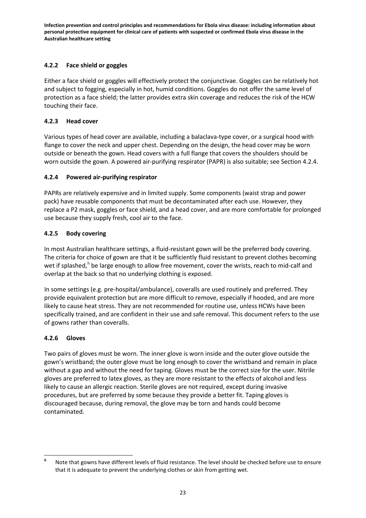## **4.2.2 Face shield or goggles**

Either a face shield or goggles will effectively protect the conjunctivae. Goggles can be relatively hot and subject to fogging, especially in hot, humid conditions. Goggles do not offer the same level of protection as a face shield; the latter provides extra skin coverage and reduces the risk of the HCW touching their face.

## **4.2.3 Head cover**

Various types of head cover are available, including a balaclava-type cover, or a surgical hood with flange to cover the neck and upper chest. Depending on the design, the head cover may be worn outside or beneath the gown. Head covers with a full flange that covers the shoulders should be worn outside the gown. A powered air-purifying respirator (PAPR) is also suitable; see Section 4.2.4.

## **4.2.4 Powered air-purifying respirator**

PAPRs are relatively expensive and in limited supply. Some components (waist strap and power pack) have reusable components that must be decontaminated after each use. However, they replace a P2 mask, goggles or face shield, and a head cover, and are more comfortable for prolonged use because they supply fresh, cool air to the face.

## **4.2.5 Body covering**

In most Australian healthcare settings, a fluid-resistant gown will be the preferred body covering. The criteria for choice of gown are that it be sufficiently fluid resistant to prevent clothes becoming wet if splas[h](#page-24-1)ed,<sup>h</sup> be large enough to allow free movement, cover the wrists, reach to mid-calf and overlap at the back so that no underlying clothing is exposed.

In some settings (e.g. pre-hospital/ambulance), coveralls are used routinely and preferred. They provide equivalent protection but are more difficult to remove, especially if hooded, and are more likely to cause heat stress. They are not recommended for routine use, unless HCWs have been specifically trained, and are confident in their use and safe removal. This document refers to the use of gowns rather than coveralls.

## **4.2.6 Gloves**

Two pairs of gloves must be worn. The inner glove is worn inside and the outer glove outside the gown's wristband; the outer glove must be long enough to cover the wristband and remain in place without a gap and without the need for taping. Gloves must be the correct size for the user. Nitrile gloves are preferred to latex gloves, as they are more resistant to the effects of alcohol and less likely to cause an allergic reaction. Sterile gloves are not required, except during invasive procedures, but are preferred by some because they provide a better fit. Taping gloves is discouraged because, during removal, the glove may be torn and hands could become contaminated.

<span id="page-34-0"></span>**<sup>h</sup>** Note that gowns have different levels of fluid resistance. The level should be checked before use to ensure that it is adequate to prevent the underlying clothes or skin from getting wet.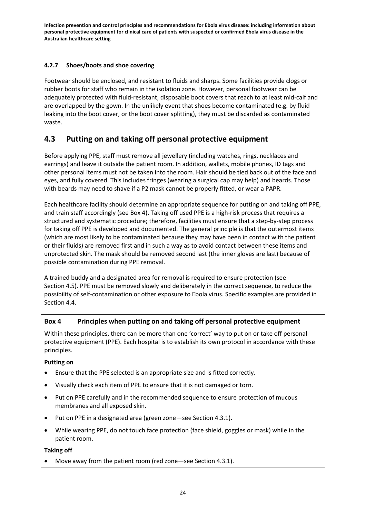## **4.2.7 Shoes/boots and shoe covering**

Footwear should be enclosed, and resistant to fluids and sharps. Some facilities provide clogs or rubber boots for staff who remain in the isolation zone. However, personal footwear can be adequately protected with fluid-resistant, disposable boot covers that reach to at least mid-calf and are overlapped by the gown. In the unlikely event that shoes become contaminated (e.g. by fluid leaking into the boot cover, or the boot cover splitting), they must be discarded as contaminated waste.

## **4.3 Putting on and taking off personal protective equipment**

Before applying PPE, staff must remove all jewellery (including watches, rings, necklaces and earrings) and leave it outside the patient room. In addition, wallets, mobile phones, ID tags and other personal items must not be taken into the room. Hair should be tied back out of the face and eyes, and fully covered. This includes fringes (wearing a surgical cap may help) and beards. Those with beards may need to shave if a P2 mask cannot be properly fitted, or wear a PAPR.

Each healthcare facility should determine an appropriate sequence for putting on and taking off PPE, and train staff accordingly (see Box 4). Taking off used PPE is a high-risk process that requires a structured and systematic procedure; therefore, facilities must ensure that a step-by-step process for taking off PPE is developed and documented. The general principle is that the outermost items (which are most likely to be contaminated because they may have been in contact with the patient or their fluids) are removed first and in such a way as to avoid contact between these items and unprotected skin. The mask should be removed second last (the inner gloves are last) because of possible contamination during PPE removal.

A trained buddy and a designated area for removal is required to ensure protection (see Section 4.5). PPE must be removed slowly and deliberately in the correct sequence, to reduce the possibility of self-contamination or other exposure to Ebola virus. Specific examples are provided in Section 4.4.

## **Box 4 Principles when putting on and taking off personal protective equipment**

Within these principles, there can be more than one 'correct' way to put on or take off personal protective equipment (PPE). Each hospital is to establish its own protocol in accordance with these principles.

## **Putting on**

- Ensure that the PPE selected is an appropriate size and is fitted correctly.
- Visually check each item of PPE to ensure that it is not damaged or torn.
- Put on PPE carefully and in the recommended sequence to ensure protection of mucous membranes and all exposed skin.
- Put on PPE in a designated area (green zone—see Section 4.3.1).
- While wearing PPE, do not touch face protection (face shield, goggles or mask) while in the patient room.

## **Taking off**

Move away from the patient room (red zone-see Section 4.3.1).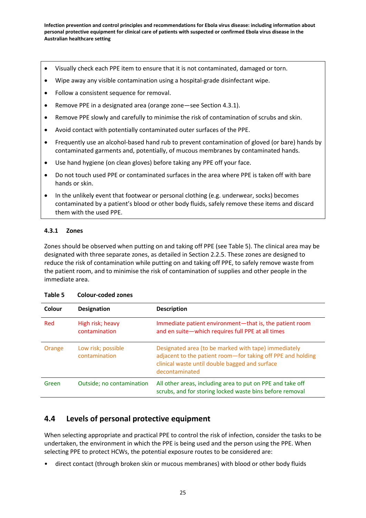- Visually check each PPE item to ensure that it is not contaminated, damaged or torn.
- Wipe away any visible contamination using a hospital-grade disinfectant wipe.
- Follow a consistent sequence for removal.
- Remove PPE in a designated area (orange zone—see Section 4.3.1).
- Remove PPE slowly and carefully to minimise the risk of contamination of scrubs and skin.
- Avoid contact with potentially contaminated outer surfaces of the PPE.
- Frequently use an alcohol-based hand rub to prevent contamination of gloved (or bare) hands by contaminated garments and, potentially, of mucous membranes by contaminated hands.
- Use hand hygiene (on clean gloves) before taking any PPE off your face.
- Do not touch used PPE or contaminated surfaces in the area where PPE is taken off with bare hands or skin.
- In the unlikely event that footwear or personal clothing (e.g. underwear, socks) becomes contaminated by a patient's blood or other body fluids, safely remove these items and discard them with the used PPE.

#### **4.3.1 Zones**

Zones should be observed when putting on and taking off PPE (see Table 5). The clinical area may be designated with three separate zones, as detailed in Section 2.2.5. These zones are designed to reduce the risk of contamination while putting on and taking off PPE, to safely remove waste from the patient room, and to minimise the risk of contamination of supplies and other people in the immediate area.

| Colour | <b>Designation</b>                  | <b>Description</b>                                                                                                                                                                      |
|--------|-------------------------------------|-----------------------------------------------------------------------------------------------------------------------------------------------------------------------------------------|
| Red    | High risk; heavy<br>contamination   | Immediate patient environment-that is, the patient room<br>and en suite-which requires full PPE at all times                                                                            |
| Orange | Low risk; possible<br>contamination | Designated area (to be marked with tape) immediately<br>adjacent to the patient room-for taking off PPE and holding<br>clinical waste until double bagged and surface<br>decontaminated |
| Green  | Outside; no contamination           | All other areas, including area to put on PPE and take off<br>scrubs, and for storing locked waste bins before removal                                                                  |

#### **Table 5 Colour-coded zones**

## **4.4 Levels of personal protective equipment**

When selecting appropriate and practical PPE to control the risk of infection, consider the tasks to be undertaken, the environment in which the PPE is being used and the person using the PPE. When selecting PPE to protect HCWs, the potential exposure routes to be considered are:

• direct contact (through broken skin or mucous membranes) with blood or other body fluids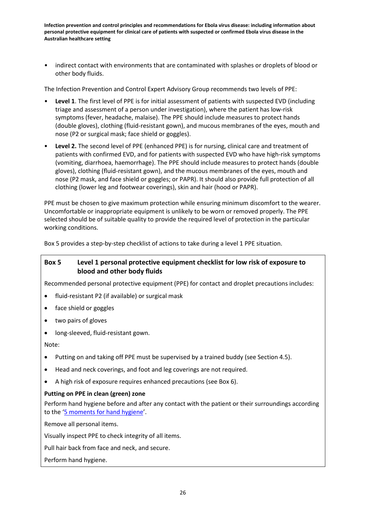• indirect contact with environments that are contaminated with splashes or droplets of blood or other body fluids.

The Infection Prevention and Control Expert Advisory Group recommends two levels of PPE:

- **Level 1**. The first level of PPE is for initial assessment of patients with suspected EVD (including triage and assessment of a person under investigation), where the patient has low-risk symptoms (fever, headache, malaise). The PPE should include measures to protect hands (double gloves), clothing (fluid-resistant gown), and mucous membranes of the eyes, mouth and nose (P2 or surgical mask; face shield or goggles).
- **Level 2.** The second level of PPE (enhanced PPE) is for nursing, clinical care and treatment of patients with confirmed EVD, and for patients with suspected EVD who have high-risk symptoms (vomiting, diarrhoea, haemorrhage). The PPE should include measures to protect hands (double gloves), clothing (fluid-resistant gown), and the mucous membranes of the eyes, mouth and nose (P2 mask, and face shield or goggles; or PAPR). It should also provide full protection of all clothing (lower leg and footwear coverings), skin and hair (hood or PAPR).

PPE must be chosen to give maximum protection while ensuring minimum discomfort to the wearer. Uncomfortable or inappropriate equipment is unlikely to be worn or removed properly. The PPE selected should be of suitable quality to provide the required level of protection in the particular working conditions.

Box 5 provides a step-by-step checklist of actions to take during a level 1 PPE situation.

## **Box 5 Level 1 personal protective equipment checklist for low risk of exposure to blood and other body fluids**

Recommended personal protective equipment (PPE) for contact and droplet precautions includes:

- fluid-resistant P2 (if available) or surgical mask
- face shield or goggles
- two pairs of gloves
- long-sleeved, fluid-resistant gown.

Note:

- Putting on and taking off PPE must be supervised by a trained buddy (see Section 4.5).
- Head and neck coverings, and foot and leg coverings are not required.
- A high risk of exposure requires enhanced precautions (see Box 6).

#### **Putting on PPE in clean (green) zone**

Perform hand hygiene before and after any contact with the patient or their surroundings according to the ['5 moments for](http://www.hha.org.au/home/5-moments-for-hand-hygiene.aspx) hand hygiene'.

Remove all personal items.

Visually inspect PPE to check integrity of all items.

Pull hair back from face and neck, and secure.

Perform hand hygiene.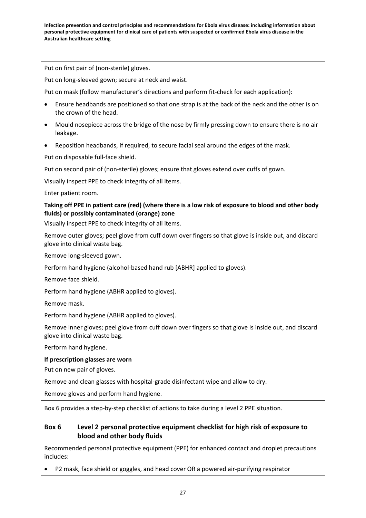Put on first pair of (non-sterile) gloves.

Put on long-sleeved gown; secure at neck and waist.

Put on mask (follow manufacturer's directions and perform fit-check for each application):

- Ensure headbands are positioned so that one strap is at the back of the neck and the other is on the crown of the head.
- Mould nosepiece across the bridge of the nose by firmly pressing down to ensure there is no air leakage.
- Reposition headbands, if required, to secure facial seal around the edges of the mask.

Put on disposable full-face shield.

Put on second pair of (non-sterile) gloves; ensure that gloves extend over cuffs of gown.

Visually inspect PPE to check integrity of all items.

Enter patient room.

**Taking off PPE in patient care (red) (where there is a low risk of exposure to blood and other body fluids) or possibly contaminated (orange) zone**

Visually inspect PPE to check integrity of all items.

Remove outer gloves; peel glove from cuff down over fingers so that glove is inside out, and discard glove into clinical waste bag.

Remove long-sleeved gown.

Perform hand hygiene (alcohol-based hand rub [ABHR] applied to gloves).

Remove face shield.

Perform hand hygiene (ABHR applied to gloves).

Remove mask.

Perform hand hygiene (ABHR applied to gloves).

Remove inner gloves; peel glove from cuff down over fingers so that glove is inside out, and discard glove into clinical waste bag.

Perform hand hygiene.

#### **If prescription glasses are worn**

Put on new pair of gloves.

Remove and clean glasses with hospital-grade disinfectant wipe and allow to dry.

Remove gloves and perform hand hygiene.

Box 6 provides a step-by-step checklist of actions to take during a level 2 PPE situation.

## **Box 6 Level 2 personal protective equipment checklist for high risk of exposure to blood and other body fluids**

Recommended personal protective equipment (PPE) for enhanced contact and droplet precautions includes:

• P2 mask, face shield or goggles, and head cover OR a powered air-purifying respirator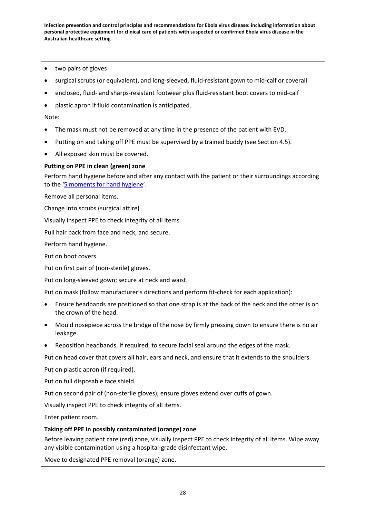- two pairs of gloves
- surgical scrubs (or equivalent), and long-sleeved, fluid-resistant gown to mid-calf or coverall
- enclosed, fluid- and sharps-resistant footwear plus fluid-resistant boot covers to mid-calf
- plastic apron if fluid contamination is anticipated.

Note:

- The mask must not be removed at any time in the presence of the patient with EVD.
- Putting on and taking off PPE must be supervised by a trained buddy (see Section 4.5).
- All exposed skin must be covered.

#### **Putting on PPE in clean (green) zone**

Perform hand hygiene before and after any contact with the patient or their surroundings according to the ['5 moments for hand hygiene'](http://www.hha.org.au/home/5-moments-for-hand-hygiene.aspx).

Remove all personal items.

Change into scrubs (surgical attire)

Visually inspect PPE to check integrity of all items.

Pull hair back from face and neck, and secure.

Perform hand hygiene.

Put on boot covers.

Put on first pair of (non-sterile) gloves.

Put on long-sleeved gown; secure at neck and waist.

Put on mask (follow manufacturer's directions and perform fit-check for each application):

- Ensure headbands are positioned so that one strap is at the back of the neck and the other is on the crown of the head.
- Mould nosepiece across the bridge of the nose by firmly pressing down to ensure there is no air leakage.
- Reposition headbands, if required, to secure facial seal around the edges of the mask.

Put on head cover that covers all hair, ears and neck, and ensure that it extends to the shoulders.

Put on plastic apron (if required).

Put on full disposable face shield.

Put on second pair of (non-sterile gloves); ensure gloves extend over cuffs of gown.

Visually inspect PPE to check integrity of all items.

Enter patient room.

#### **Taking off PPE in possibly contaminated (orange) zone**

Before leaving patient care (red) zone, visually inspect PPE to check integrity of all items. Wipe away any visible contamination using a hospital-grade disinfectant wipe.

Move to designated PPE removal (orange) zone.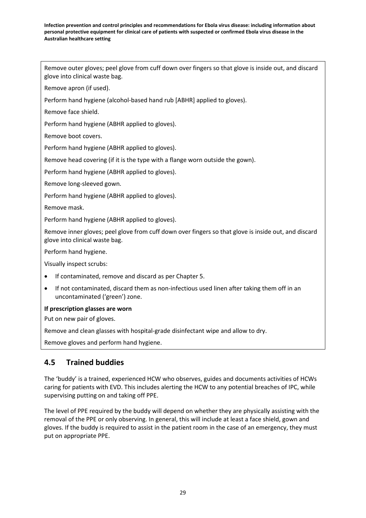Remove outer gloves; peel glove from cuff down over fingers so that glove is inside out, and discard glove into clinical waste bag.

Remove apron (if used).

Perform hand hygiene (alcohol-based hand rub [ABHR] applied to gloves).

Remove face shield.

Perform hand hygiene (ABHR applied to gloves).

Remove boot covers.

Perform hand hygiene (ABHR applied to gloves).

Remove head covering (if it is the type with a flange worn outside the gown).

Perform hand hygiene (ABHR applied to gloves).

Remove long-sleeved gown.

Perform hand hygiene (ABHR applied to gloves).

Remove mask.

Perform hand hygiene (ABHR applied to gloves).

Remove inner gloves; peel glove from cuff down over fingers so that glove is inside out, and discard glove into clinical waste bag.

Perform hand hygiene.

Visually inspect scrubs:

- If contaminated, remove and discard as per Chapter 5.
- If not contaminated, discard them as non-infectious used linen after taking them off in an uncontaminated ('green') zone.

#### **If prescription glasses are worn**

Put on new pair of gloves.

Remove and clean glasses with hospital-grade disinfectant wipe and allow to dry.

Remove gloves and perform hand hygiene.

## **4.5 Trained buddies**

The 'buddy' is a trained, experienced HCW who observes, guides and documents activities of HCWs caring for patients with EVD. This includes alerting the HCW to any potential breaches of IPC, while supervising putting on and taking off PPE.

The level of PPE required by the buddy will depend on whether they are physically assisting with the removal of the PPE or only observing. In general, this will include at least a face shield, gown and gloves. If the buddy is required to assist in the patient room in the case of an emergency, they must put on appropriate PPE.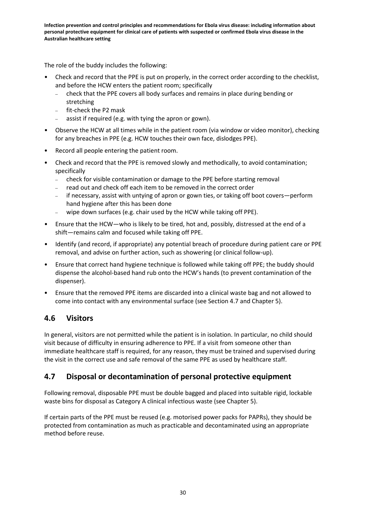The role of the buddy includes the following:

- Check and record that the PPE is put on properly, in the correct order according to the checklist, and before the HCW enters the patient room; specifically
	- check that the PPE covers all body surfaces and remains in place during bending or stretching
	- fit-check the P2 mask
	- assist if required (e.g. with tying the apron or gown).
- Observe the HCW at all times while in the patient room (via window or video monitor), checking for any breaches in PPE (e.g. HCW touches their own face, dislodges PPE).
- Record all people entering the patient room.
- Check and record that the PPE is removed slowly and methodically, to avoid contamination; specifically
	- check for visible contamination or damage to the PPE before starting removal
	- read out and check off each item to be removed in the correct order
	- if necessary, assist with untying of apron or gown ties, or taking off boot covers—perform hand hygiene after this has been done
	- wipe down surfaces (e.g. chair used by the HCW while taking off PPE).
- Ensure that the HCW—who is likely to be tired, hot and, possibly, distressed at the end of a shift—remains calm and focused while taking off PPE.
- Identify (and record, if appropriate) any potential breach of procedure during patient care or PPE removal, and advise on further action, such as showering (or clinical follow-up).
- Ensure that correct hand hygiene technique is followed while taking off PPE; the buddy should dispense the alcohol-based hand rub onto the HCW's hands (to prevent contamination of the dispenser).
- Ensure that the removed PPE items are discarded into a clinical waste bag and not allowed to come into contact with any environmental surface (see Section 4.7 and Chapter 5).

## **4.6 Visitors**

In general, visitors are not permitted while the patient is in isolation. In particular, no child should visit because of difficulty in ensuring adherence to PPE. If a visit from someone other than immediate healthcare staff is required, for any reason, they must be trained and supervised during the visit in the correct use and safe removal of the same PPE as used by healthcare staff.

## **4.7 Disposal or decontamination of personal protective equipment**

Following removal, disposable PPE must be double bagged and placed into suitable rigid, lockable waste bins for disposal as Category A clinical infectious waste (see Chapter 5).

If certain parts of the PPE must be reused (e.g. motorised power packs for PAPRs), they should be protected from contamination as much as practicable and decontaminated using an appropriate method before reuse.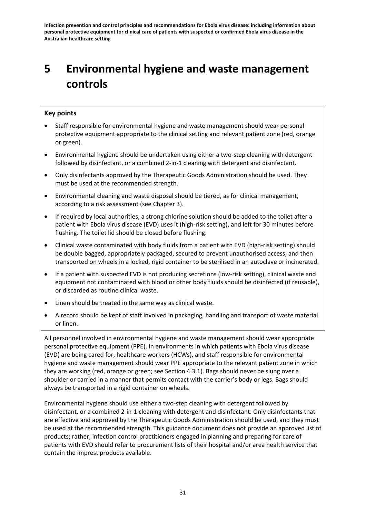# **5 Environmental hygiene and waste management controls**

## **Key points**

- Staff responsible for environmental hygiene and waste management should wear personal protective equipment appropriate to the clinical setting and relevant patient zone (red, orange or green).
- Environmental hygiene should be undertaken using either a two-step cleaning with detergent followed by disinfectant, or a combined 2-in-1 cleaning with detergent and disinfectant.
- Only disinfectants approved by the Therapeutic Goods Administration should be used. They must be used at the recommended strength.
- Environmental cleaning and waste disposal should be tiered, as for clinical management, according to a risk assessment (see Chapter 3).
- If required by local authorities, a strong chlorine solution should be added to the toilet after a patient with Ebola virus disease (EVD) uses it (high-risk setting), and left for 30 minutes before flushing. The toilet lid should be closed before flushing.
- Clinical waste contaminated with body fluids from a patient with EVD (high-risk setting) should be double bagged, appropriately packaged, secured to prevent unauthorised access, and then transported on wheels in a locked, rigid container to be sterilised in an autoclave or incinerated.
- If a patient with suspected EVD is not producing secretions (low-risk setting), clinical waste and equipment not contaminated with blood or other body fluids should be disinfected (if reusable), or discarded as routine clinical waste.
- Linen should be treated in the same way as clinical waste.
- A record should be kept of staff involved in packaging, handling and transport of waste material or linen.

All personnel involved in environmental hygiene and waste management should wear appropriate personal protective equipment (PPE). In environments in which patients with Ebola virus disease (EVD) are being cared for, healthcare workers (HCWs), and staff responsible for environmental hygiene and waste management should wear PPE appropriate to the relevant patient zone in which they are working (red, orange or green; see Section 4.3.1). Bags should never be slung over a shoulder or carried in a manner that permits contact with the carrier's body or legs. Bags should always be transported in a rigid container on wheels.

Environmental hygiene should use either a two-step cleaning with detergent followed by disinfectant, or a combined 2-in-1 cleaning with detergent and disinfectant. Only disinfectants that are effective and approved by the Therapeutic Goods Administration should be used, and they must be used at the recommended strength. This guidance document does not provide an approved list of products; rather, infection control practitioners engaged in planning and preparing for care of patients with EVD should refer to procurement lists of their hospital and/or area health service that contain the imprest products available.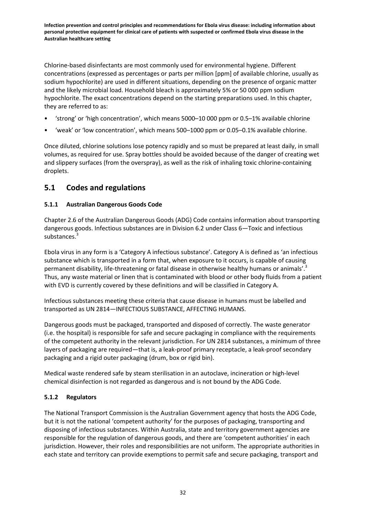Chlorine-based disinfectants are most commonly used for environmental hygiene. Different concentrations (expressed as percentages or parts per million [ppm] of available chlorine, usually as sodium hypochlorite) are used in different situations, depending on the presence of organic matter and the likely microbial load. Household bleach is approximately 5% or 50 000 ppm sodium hypochlorite. The exact concentrations depend on the starting preparations used. In this chapter, they are referred to as:

- 'strong' or 'high concentration', which means 5000–10 000 ppm or 0.5–1% available chlorine
- 'weak' or 'low concentration', which means 500–1000 ppm or 0.05–0.1% available chlorine.

Once diluted, chlorine solutions lose potency rapidly and so must be prepared at least daily, in small volumes, as required for use. Spray bottles should be avoided because of the danger of creating wet and slippery surfaces (from the overspray), as well as the risk of inhaling toxic chlorine-containing droplets.

## **5.1 Codes and regulations**

## **5.1.1 Australian Dangerous Goods Code**

Chapter 2.6 of the Australian Dangerous Goods (ADG) Code contains information about transporting dangerous goods. Infectious substances are in Division 6.2 under Class 6—Toxic and infectious substances.<sup>3</sup>

Ebola virus in any form is a 'Category A infectious substance'. Category A is defined as 'an infectious substance which is transported in a form that, when exposure to it occurs, is capable of causing permanent disability, life-threatening or fatal disease in otherwise healthy humans or animals'.<sup>3</sup> Thus, any waste material or linen that is contaminated with blood or other body fluids from a patient with EVD is currently covered by these definitions and will be classified in Category A.

Infectious substances meeting these criteria that cause disease in humans must be labelled and transported as UN 2814—INFECTIOUS SUBSTANCE, AFFECTING HUMANS.

Dangerous goods must be packaged, transported and disposed of correctly. The waste generator (i.e. the hospital) is responsible for safe and secure packaging in compliance with the requirements of the competent authority in the relevant jurisdiction. For UN 2814 substances, a minimum of three layers of packaging are required—that is, a leak-proof primary receptacle, a leak-proof secondary packaging and a rigid outer packaging (drum, box or rigid bin).

Medical waste rendered safe by steam sterilisation in an autoclave, incineration or high-level chemical disinfection is not regarded as dangerous and is not bound by the ADG Code.

## **5.1.2 Regulators**

The National Transport Commission is the Australian Government agency that hosts the ADG Code, but it is not the national 'competent authority' for the purposes of packaging, transporting and disposing of infectious substances. Within Australia, state and territory government agencies are responsible for the regulation of dangerous goods, and there are 'competent authorities' in each jurisdiction. However, their roles and responsibilities are not uniform. The appropriate authorities in each state and territory can provide exemptions to permit safe and secure packaging, transport and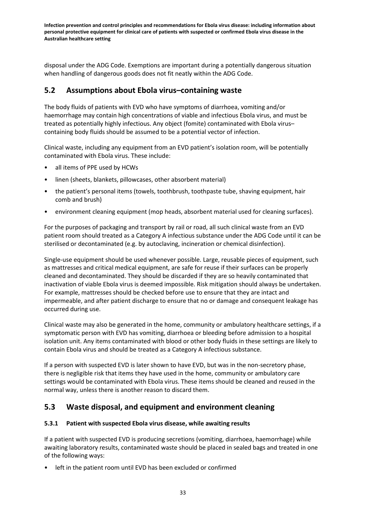disposal under the ADG Code. Exemptions are important during a potentially dangerous situation when handling of dangerous goods does not fit neatly within the ADG Code.

## **5.2 Assumptions about Ebola virus–containing waste**

The body fluids of patients with EVD who have symptoms of diarrhoea, vomiting and/or haemorrhage may contain high concentrations of viable and infectious Ebola virus, and must be treated as potentially highly infectious. Any object (fomite) contaminated with Ebola virus– containing body fluids should be assumed to be a potential vector of infection.

Clinical waste, including any equipment from an EVD patient's isolation room, will be potentially contaminated with Ebola virus. These include:

- all items of PPE used by HCWs
- linen (sheets, blankets, pillowcases, other absorbent material)
- the patient's personal items (towels, toothbrush, toothpaste tube, shaving equipment, hair comb and brush)
- environment cleaning equipment (mop heads, absorbent material used for cleaning surfaces).

For the purposes of packaging and transport by rail or road, all such clinical waste from an EVD patient room should treated as a Category A infectious substance under the ADG Code until it can be sterilised or decontaminated (e.g. by autoclaving, incineration or chemical disinfection).

Single-use equipment should be used whenever possible. Large, reusable pieces of equipment, such as mattresses and critical medical equipment, are safe for reuse if their surfaces can be properly cleaned and decontaminated. They should be discarded if they are so heavily contaminated that inactivation of viable Ebola virus is deemed impossible. Risk mitigation should always be undertaken. For example, mattresses should be checked before use to ensure that they are intact and impermeable, and after patient discharge to ensure that no or damage and consequent leakage has occurred during use.

Clinical waste may also be generated in the home, community or ambulatory healthcare settings, if a symptomatic person with EVD has vomiting, diarrhoea or bleeding before admission to a hospital isolation unit. Any items contaminated with blood or other body fluids in these settings are likely to contain Ebola virus and should be treated as a Category A infectious substance.

If a person with suspected EVD is later shown to have EVD, but was in the non-secretory phase, there is negligible risk that items they have used in the home, community or ambulatory care settings would be contaminated with Ebola virus. These items should be cleaned and reused in the normal way, unless there is another reason to discard them.

## **5.3 Waste disposal, and equipment and environment cleaning**

#### **5.3.1 Patient with suspected Ebola virus disease, while awaiting results**

If a patient with suspected EVD is producing secretions (vomiting, diarrhoea, haemorrhage) while awaiting laboratory results, contaminated waste should be placed in sealed bags and treated in one of the following ways:

• left in the patient room until EVD has been excluded or confirmed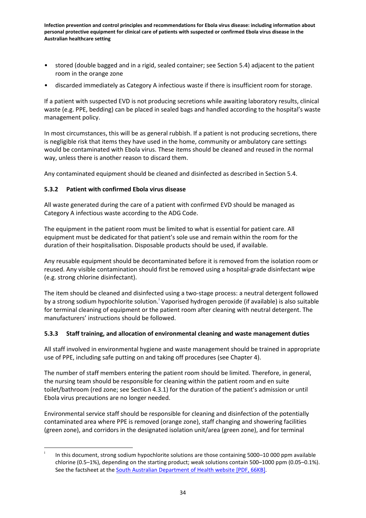- stored (double bagged and in a rigid, sealed container; see Section 5.4) adjacent to the patient room in the orange zone
- discarded immediately as Category A infectious waste if there is insufficient room for storage.

If a patient with suspected EVD is not producing secretions while awaiting laboratory results, clinical waste (e.g. PPE, bedding) can be placed in sealed bags and handled according to the hospital's waste management policy.

In most circumstances, this will be as general rubbish. If a patient is not producing secretions, there is negligible risk that items they have used in the home, community or ambulatory care settings would be contaminated with Ebola virus. These items should be cleaned and reused in the normal way, unless there is another reason to discard them.

Any contaminated equipment should be cleaned and disinfected as described in Section 5.4.

## **5.3.2 Patient with confirmed Ebola virus disease**

All waste generated during the care of a patient with confirmed EVD should be managed as Category A infectious waste according to the ADG Code.

The equipment in the patient room must be limited to what is essential for patient care. All equipment must be dedicated for that patient's sole use and remain within the room for the duration of their hospitalisation. Disposable products should be used, if available.

Any reusable equipment should be decontaminated before it is removed from the isolation room or reused. Any visible contamination should first be removed using a hospital-grade disinfectant wipe (e.g. strong chlorine disinfectant).

The item should be cleaned and disinfected using a two-stage process: a neutral detergent followed by a strong sod[i](#page-34-0)um hypochlorite solution.<sup>i</sup> Vaporised hydrogen peroxide (if available) is also suitable for terminal cleaning of equipment or the patient room after cleaning with neutral detergent. The manufacturers' instructions should be followed.

## **5.3.3 Staff training, and allocation of environmental cleaning and waste management duties**

All staff involved in environmental hygiene and waste management should be trained in appropriate use of PPE, including safe putting on and taking off procedures (see Chapter 4).

The number of staff members entering the patient room should be limited. Therefore, in general, the nursing team should be responsible for cleaning within the patient room and en suite toilet/bathroom (red zone; see Section 4.3.1) for the duration of the patient's admission or until Ebola virus precautions are no longer needed.

Environmental service staff should be responsible for cleaning and disinfection of the potentially contaminated area where PPE is removed (orange zone), staff changing and showering facilities (green zone), and corridors in the designated isolation unit/area (green zone), and for terminal

In this document, strong sodium hypochlorite solutions are those containing 5000–10 000 ppm available chlorine (0.5–1%), depending on the starting product; weak solutions contain 500–1000 ppm (0.05–0.1%). See the factsheet at the [South Australian Department of Health website](http://www.sahealth.sa.gov.au/wps/wcm/connect/d3396d00411006b8875bcf8f6fad9ea1/FactSheet-dilutions-sodium-hypochlorite_V2+2-phcs-ics-20140917.pdf?MOD=AJPERES&CACHEID=d3396d00411006b8875bcf8f6fad9ea1) [PDF, 66KB].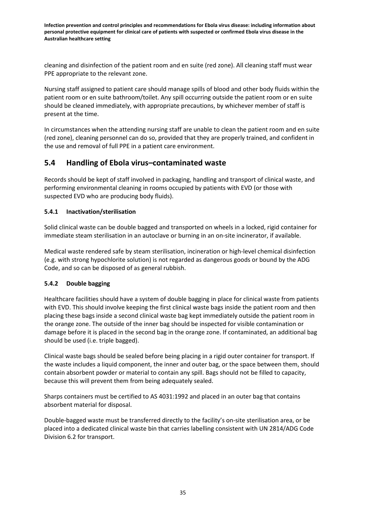cleaning and disinfection of the patient room and en suite (red zone). All cleaning staff must wear PPE appropriate to the relevant zone.

Nursing staff assigned to patient care should manage spills of blood and other body fluids within the patient room or en suite bathroom/toilet. Any spill occurring outside the patient room or en suite should be cleaned immediately, with appropriate precautions, by whichever member of staff is present at the time.

In circumstances when the attending nursing staff are unable to clean the patient room and en suite (red zone), cleaning personnel can do so, provided that they are properly trained, and confident in the use and removal of full PPE in a patient care environment.

## **5.4 Handling of Ebola virus–contaminated waste**

Records should be kept of staff involved in packaging, handling and transport of clinical waste, and performing environmental cleaning in rooms occupied by patients with EVD (or those with suspected EVD who are producing body fluids).

## **5.4.1 Inactivation/sterilisation**

Solid clinical waste can be double bagged and transported on wheels in a locked, rigid container for immediate steam sterilisation in an autoclave or burning in an on-site incinerator, if available.

Medical waste rendered safe by steam sterilisation, incineration or high-level chemical disinfection (e.g. with strong hypochlorite solution) is not regarded as dangerous goods or bound by the ADG Code, and so can be disposed of as general rubbish.

#### **5.4.2 Double bagging**

Healthcare facilities should have a system of double bagging in place for clinical waste from patients with EVD. This should involve keeping the first clinical waste bags inside the patient room and then placing these bags inside a second clinical waste bag kept immediately outside the patient room in the orange zone. The outside of the inner bag should be inspected for visible contamination or damage before it is placed in the second bag in the orange zone. If contaminated, an additional bag should be used (i.e. triple bagged).

Clinical waste bags should be sealed before being placing in a rigid outer container for transport. If the waste includes a liquid component, the inner and outer bag, or the space between them, should contain absorbent powder or material to contain any spill. Bags should not be filled to capacity, because this will prevent them from being adequately sealed.

Sharps containers must be certified to AS 4031:1992 and placed in an outer bag that contains absorbent material for disposal.

Double-bagged waste must be transferred directly to the facility's on-site sterilisation area, or be placed into a dedicated clinical waste bin that carries labelling consistent with UN 2814/ADG Code Division 6.2 for transport.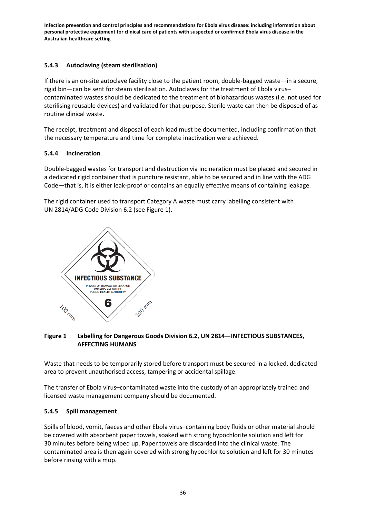## **5.4.3 Autoclaving (steam sterilisation)**

If there is an on-site autoclave facility close to the patient room, double-bagged waste—in a secure, rigid bin—can be sent for steam sterilisation. Autoclaves for the treatment of Ebola virus*–* contaminated wastes should be dedicated to the treatment of biohazardous wastes (i.e. not used for sterilising reusable devices) and validated for that purpose. Sterile waste can then be disposed of as routine clinical waste.

The receipt, treatment and disposal of each load must be documented, including confirmation that the necessary temperature and time for complete inactivation were achieved.

## **5.4.4 Incineration**

Double-bagged wastes for transport and destruction via incineration must be placed and secured in a dedicated rigid container that is puncture resistant, able to be secured and in line with the ADG Code—that is, it is either leak-proof or contains an equally effective means of containing leakage.

The rigid container used to transport Category A waste must carry labelling consistent with UN 2814/ADG Code Division 6.2 (see Figure 1).



### **Figure 1 Labelling for Dangerous Goods Division 6.2, UN 2814—INFECTIOUS SUBSTANCES, AFFECTING HUMANS**

Waste that needs to be temporarily stored before transport must be secured in a locked, dedicated area to prevent unauthorised access, tampering or accidental spillage.

The transfer of Ebola virus–contaminated waste into the custody of an appropriately trained and licensed waste management company should be documented.

#### **5.4.5 Spill management**

Spills of blood, vomit, faeces and other Ebola virus–containing body fluids or other material should be covered with absorbent paper towels, soaked with strong hypochlorite solution and left for 30 minutes before being wiped up. Paper towels are discarded into the clinical waste. The contaminated area is then again covered with strong hypochlorite solution and left for 30 minutes before rinsing with a mop.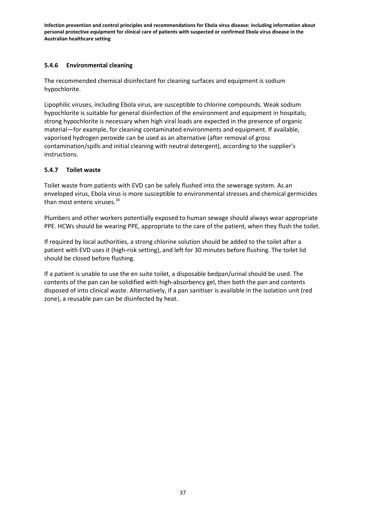### **5.4.6 Environmental cleaning**

The recommended chemical disinfectant for cleaning surfaces and equipment is sodium hypochlorite.

Lipophilic viruses, including Ebola virus, are susceptible to chlorine compounds. Weak sodium hypochlorite is suitable for general disinfection of the environment and equipment in hospitals; strong hypochlorite is necessary when high viral loads are expected in the presence of organic material—for example, for cleaning contaminated environments and equipment. If available, vaporised hydrogen peroxide can be used as an alternative (after removal of gross contamination/spills and initial cleaning with neutral detergent), according to the supplier's instructions.

### **5.4.7 Toilet waste**

Toilet waste from patients with EVD can be safely flushed into the sewerage system. As an enveloped virus, Ebola virus is more susceptible to environmental stresses and chemical germicides than most enteric viruses.<sup>16</sup>

Plumbers and other workers potentially exposed to human sewage should always wear appropriate PPE. HCWs should be wearing PPE, appropriate to the care of the patient, when they flush the toilet.

If required by local authorities, a strong chlorine solution should be added to the toilet after a patient with EVD uses it (high-risk setting), and left for 30 minutes before flushing. The toilet lid should be closed before flushing.

If a patient is unable to use the en suite toilet, a disposable bedpan/urinal should be used. The contents of the pan can be solidified with high-absorbency gel, then both the pan and contents disposed of into clinical waste. Alternatively, if a pan sanitiser is available in the isolation unit (red zone), a reusable pan can be disinfected by heat.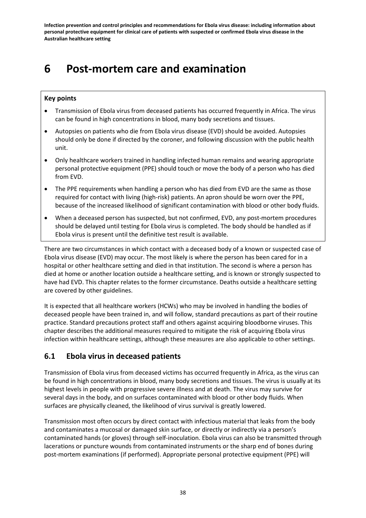# **6 Post-mortem care and examination**

### **Key points**

- Transmission of Ebola virus from deceased patients has occurred frequently in Africa. The virus can be found in high concentrations in blood, many body secretions and tissues.
- Autopsies on patients who die from Ebola virus disease (EVD) should be avoided. Autopsies should only be done if directed by the coroner, and following discussion with the public health unit.
- Only healthcare workers trained in handling infected human remains and wearing appropriate personal protective equipment (PPE) should touch or move the body of a person who has died from EVD.
- The PPE requirements when handling a person who has died from EVD are the same as those required for contact with living (high-risk) patients. An apron should be worn over the PPE, because of the increased likelihood of significant contamination with blood or other body fluids.
- When a deceased person has suspected, but not confirmed, EVD, any post-mortem procedures should be delayed until testing for Ebola virus is completed. The body should be handled as if Ebola virus is present until the definitive test result is available.

There are two circumstances in which contact with a deceased body of a known or suspected case of Ebola virus disease (EVD) may occur. The most likely is where the person has been cared for in a hospital or other healthcare setting and died in that institution. The second is where a person has died at home or another location outside a healthcare setting, and is known or strongly suspected to have had EVD. This chapter relates to the former circumstance. Deaths outside a healthcare setting are covered by other guidelines.

It is expected that all healthcare workers (HCWs) who may be involved in handling the bodies of deceased people have been trained in, and will follow, standard precautions as part of their routine practice. Standard precautions protect staff and others against acquiring bloodborne viruses. This chapter describes the additional measures required to mitigate the risk of acquiring Ebola virus infection within healthcare settings, although these measures are also applicable to other settings.

## **6.1 Ebola virus in deceased patients**

Transmission of Ebola virus from deceased victims has occurred frequently in Africa, as the virus can be found in high concentrations in blood, many body secretions and tissues. The virus is usually at its highest levels in people with progressive severe illness and at death. The virus may survive for several days in the body, and on surfaces contaminated with blood or other body fluids. When surfaces are physically cleaned, the likelihood of virus survival is greatly lowered.

Transmission most often occurs by direct contact with infectious material that leaks from the body and contaminates a mucosal or damaged skin surface, or directly or indirectly via a person's contaminated hands (or gloves) through self-inoculation. Ebola virus can also be transmitted through lacerations or puncture wounds from contaminated instruments or the sharp end of bones during post-mortem examinations (if performed). Appropriate personal protective equipment (PPE) will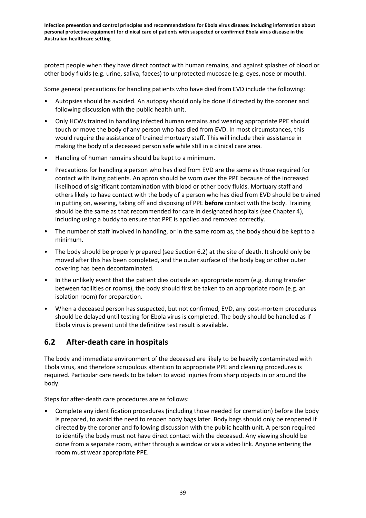protect people when they have direct contact with human remains, and against splashes of blood or other body fluids (e.g. urine, saliva, faeces) to unprotected mucosae (e.g. eyes, nose or mouth).

Some general precautions for handling patients who have died from EVD include the following:

- Autopsies should be avoided. An autopsy should only be done if directed by the coroner and following discussion with the public health unit.
- Only HCWs trained in handling infected human remains and wearing appropriate PPE should touch or move the body of any person who has died from EVD. In most circumstances, this would require the assistance of trained mortuary staff. This will include their assistance in making the body of a deceased person safe while still in a clinical care area.
- Handling of human remains should be kept to a minimum.
- Precautions for handling a person who has died from EVD are the same as those required for contact with living patients. An apron should be worn over the PPE because of the increased likelihood of significant contamination with blood or other body fluids. Mortuary staff and others likely to have contact with the body of a person who has died from EVD should be trained in putting on, wearing, taking off and disposing of PPE **before** contact with the body. Training should be the same as that recommended for care in designated hospitals (see Chapter 4), including using a buddy to ensure that PPE is applied and removed correctly.
- The number of staff involved in handling, or in the same room as, the body should be kept to a minimum.
- The body should be properly prepared (see Section 6.2) at the site of death. It should only be moved after this has been completed, and the outer surface of the body bag or other outer covering has been decontaminated.
- In the unlikely event that the patient dies outside an appropriate room (e.g. during transfer between facilities or rooms), the body should first be taken to an appropriate room (e.g. an isolation room) for preparation.
- When a deceased person has suspected, but not confirmed, EVD, any post-mortem procedures should be delayed until testing for Ebola virus is completed. The body should be handled as if Ebola virus is present until the definitive test result is available.

## **6.2 After-death care in hospitals**

The body and immediate environment of the deceased are likely to be heavily contaminated with Ebola virus, and therefore scrupulous attention to appropriate PPE and cleaning procedures is required. Particular care needs to be taken to avoid injuries from sharp objects in or around the body.

Steps for after-death care procedures are as follows:

• Complete any identification procedures (including those needed for cremation) before the body is prepared, to avoid the need to reopen body bags later. Body bags should only be reopened if directed by the coroner and following discussion with the public health unit. A person required to identify the body must not have direct contact with the deceased. Any viewing should be done from a separate room, either through a window or via a video link. Anyone entering the room must wear appropriate PPE.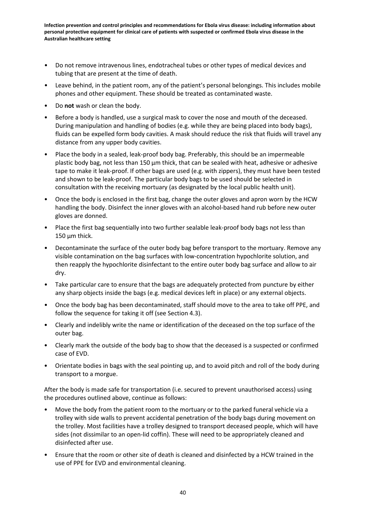- Do not remove intravenous lines, endotracheal tubes or other types of medical devices and tubing that are present at the time of death.
- Leave behind, in the patient room, any of the patient's personal belongings. This includes mobile phones and other equipment. These should be treated as contaminated waste.
- Do **not** wash or clean the body.
- Before a body is handled, use a surgical mask to cover the nose and mouth of the deceased. During manipulation and handling of bodies (e.g. while they are being placed into body bags), fluids can be expelled form body cavities. A mask should reduce the risk that fluids will travel any distance from any upper body cavities.
- Place the body in a sealed, leak-proof body bag. Preferably, this should be an impermeable plastic body bag, not less than 150 μm thick, that can be sealed with heat, adhesive or adhesive tape to make it leak-proof. If other bags are used (e.g. with zippers), they must have been tested and shown to be leak-proof. The particular body bags to be used should be selected in consultation with the receiving mortuary (as designated by the local public health unit).
- Once the body is enclosed in the first bag, change the outer gloves and apron worn by the HCW handling the body. Disinfect the inner gloves with an alcohol-based hand rub before new outer gloves are donned.
- Place the first bag sequentially into two further sealable leak-proof body bags not less than 150 μm thick.
- Decontaminate the surface of the outer body bag before transport to the mortuary. Remove any visible contamination on the bag surfaces with low-concentration hypochlorite solution, and then reapply the hypochlorite disinfectant to the entire outer body bag surface and allow to air dry.
- Take particular care to ensure that the bags are adequately protected from puncture by either any sharp objects inside the bags (e.g. medical devices left in place) or any external objects.
- Once the body bag has been decontaminated, staff should move to the area to take off PPE, and follow the sequence for taking it off (see Section 4.3).
- Clearly and indelibly write the name or identification of the deceased on the top surface of the outer bag.
- Clearly mark the outside of the body bag to show that the deceased is a suspected or confirmed case of EVD.
- Orientate bodies in bags with the seal pointing up, and to avoid pitch and roll of the body during transport to a morgue.

After the body is made safe for transportation (i.e. secured to prevent unauthorised access) using the procedures outlined above, continue as follows:

- Move the body from the patient room to the mortuary or to the parked funeral vehicle via a trolley with side walls to prevent accidental penetration of the body bags during movement on the trolley. Most facilities have a trolley designed to transport deceased people, which will have sides (not dissimilar to an open-lid coffin). These will need to be appropriately cleaned and disinfected after use.
- Ensure that the room or other site of death is cleaned and disinfected by a HCW trained in the use of PPE for EVD and environmental cleaning.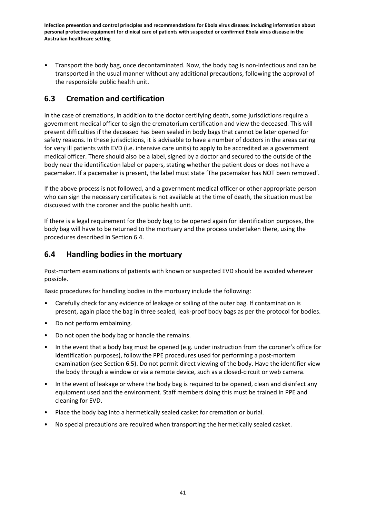• Transport the body bag, once decontaminated. Now, the body bag is non-infectious and can be transported in the usual manner without any additional precautions, following the approval of the responsible public health unit.

## **6.3 Cremation and certification**

In the case of cremations, in addition to the doctor certifying death, some jurisdictions require a government medical officer to sign the crematorium certification and view the deceased. This will present difficulties if the deceased has been sealed in body bags that cannot be later opened for safety reasons. In these jurisdictions, it is advisable to have a number of doctors in the areas caring for very ill patients with EVD (i.e. intensive care units) to apply to be accredited as a government medical officer. There should also be a label, signed by a doctor and secured to the outside of the body near the identification label or papers, stating whether the patient does or does not have a pacemaker. If a pacemaker is present, the label must state 'The pacemaker has NOT been removed'.

If the above process is not followed, and a government medical officer or other appropriate person who can sign the necessary certificates is not available at the time of death, the situation must be discussed with the coroner and the public health unit.

If there is a legal requirement for the body bag to be opened again for identification purposes, the body bag will have to be returned to the mortuary and the process undertaken there, using the procedures described in Section 6.4.

## **6.4 Handling bodies in the mortuary**

Post-mortem examinations of patients with known or suspected EVD should be avoided wherever possible.

Basic procedures for handling bodies in the mortuary include the following:

- Carefully check for any evidence of leakage or soiling of the outer bag. If contamination is present, again place the bag in three sealed, leak-proof body bags as per the protocol for bodies.
- Do not perform embalming.
- Do not open the body bag or handle the remains.
- In the event that a body bag must be opened (e.g. under instruction from the coroner's office for identification purposes), follow the PPE procedures used for performing a post-mortem examination (see Section 6.5). Do not permit direct viewing of the body. Have the identifier view the body through a window or via a remote device, such as a closed-circuit or web camera.
- In the event of leakage or where the body bag is required to be opened, clean and disinfect any equipment used and the environment. Staff members doing this must be trained in PPE and cleaning for EVD.
- Place the body bag into a hermetically sealed casket for cremation or burial.
- No special precautions are required when transporting the hermetically sealed casket.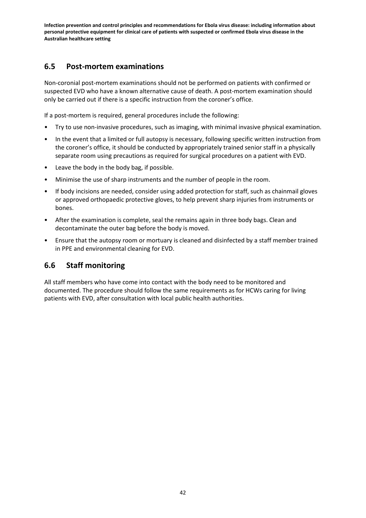## **6.5 Post-mortem examinations**

Non-coronial post-mortem examinations should not be performed on patients with confirmed or suspected EVD who have a known alternative cause of death. A post-mortem examination should only be carried out if there is a specific instruction from the coroner's office.

If a post-mortem is required, general procedures include the following:

- Try to use non-invasive procedures, such as imaging, with minimal invasive physical examination.
- In the event that a limited or full autopsy is necessary, following specific written instruction from the coroner's office, it should be conducted by appropriately trained senior staff in a physically separate room using precautions as required for surgical procedures on a patient with EVD.
- Leave the body in the body bag, if possible.
- Minimise the use of sharp instruments and the number of people in the room.
- If body incisions are needed, consider using added protection for staff, such as chainmail gloves or approved orthopaedic protective gloves, to help prevent sharp injuries from instruments or bones.
- After the examination is complete, seal the remains again in three body bags. Clean and decontaminate the outer bag before the body is moved.
- Ensure that the autopsy room or mortuary is cleaned and disinfected by a staff member trained in PPE and environmental cleaning for EVD.

## **6.6 Staff monitoring**

All staff members who have come into contact with the body need to be monitored and documented. The procedure should follow the same requirements as for HCWs caring for living patients with EVD, after consultation with local public health authorities.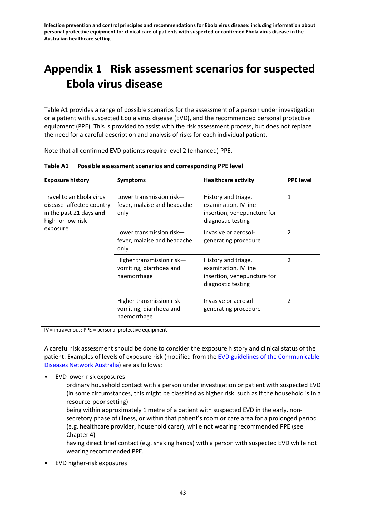# **Appendix 1 Risk assessment scenarios for suspected Ebola virus disease**

Table A1 provides a range of possible scenarios for the assessment of a person under investigation or a patient with suspected Ebola virus disease (EVD), and the recommended personal protective equipment (PPE). This is provided to assist with the risk assessment process, but does not replace the need for a careful description and analysis of risks for each individual patient.

Note that all confirmed EVD patients require level 2 (enhanced) PPE.

| <b>Exposure history</b>                                                                              | <b>Symptoms</b>                                                     | <b>Healthcare activity</b>                                                                       | <b>PPE level</b> |
|------------------------------------------------------------------------------------------------------|---------------------------------------------------------------------|--------------------------------------------------------------------------------------------------|------------------|
| Travel to an Ebola virus<br>disease-affected country<br>in the past 21 days and<br>high- or low-risk | Lower transmission risk—<br>fever, malaise and headache<br>only     | History and triage,<br>examination, IV line<br>insertion, venepuncture for<br>diagnostic testing | 1                |
| exposure                                                                                             | Lower transmission risk-<br>fever, malaise and headache<br>only     | Invasive or aerosol-<br>generating procedure                                                     | 2                |
|                                                                                                      | Higher transmission risk-<br>vomiting, diarrhoea and<br>haemorrhage | History and triage,<br>examination, IV line<br>insertion, venepuncture for<br>diagnostic testing | 2                |
|                                                                                                      | Higher transmission risk-<br>vomiting, diarrhoea and<br>haemorrhage | Invasive or aerosol-<br>generating procedure                                                     | 2                |

**Table A1 Possible assessment scenarios and corresponding PPE level**

IV = intravenous; PPE = personal protective equipment

A careful risk assessment should be done to consider the exposure history and clinical status of the patient. Examples of levels of exposure risk (modified from th[e EVD guidelines of the Communicable](http://health.gov.au/internet/main/publishing.nsf/Content/ohp-ebola-Information-for-Health-Professionals)  Diseases [Network Australia\)](http://health.gov.au/internet/main/publishing.nsf/Content/ohp-ebola-Information-for-Health-Professionals) are as follows:

- EVD lower-risk exposures
	- ordinary household contact with a person under investigation or patient with suspected EVD (in some circumstances, this might be classified as higher risk, such as if the household is in a resource-poor setting)
	- being within approximately 1 metre of a patient with suspected EVD in the early, nonsecretory phase of illness, or within that patient's room or care area for a prolonged period (e.g. healthcare provider, household carer), while not wearing recommended PPE (see Chapter 4)
	- having direct brief contact (e.g. shaking hands) with a person with suspected EVD while not wearing recommended PPE.
- EVD higher-risk exposures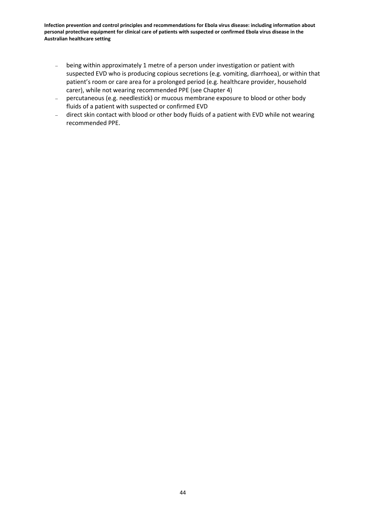- being within approximately 1 metre of a person under investigation or patient with suspected EVD who is producing copious secretions (e.g. vomiting, diarrhoea), or within that patient's room or care area for a prolonged period (e.g. healthcare provider, household carer), while not wearing recommended PPE (see Chapter 4)
- percutaneous (e.g. needlestick) or mucous membrane exposure to blood or other body fluids of a patient with suspected or confirmed EVD
- direct skin contact with blood or other body fluids of a patient with EVD while not wearing recommended PPE.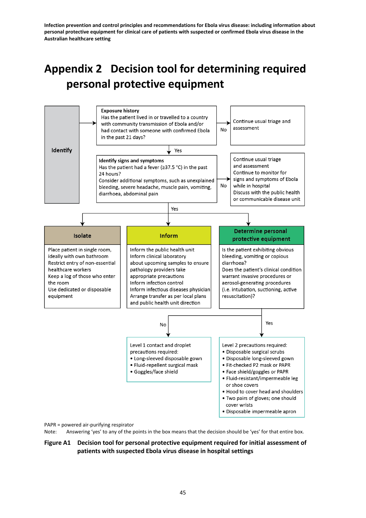# **Appendix 2 Decision tool for determining required personal protective equipment**



PAPR = powered air-purifying respirator

Note: Answering 'yes' to any of the points in the box means that the decision should be 'yes' for that entire box.

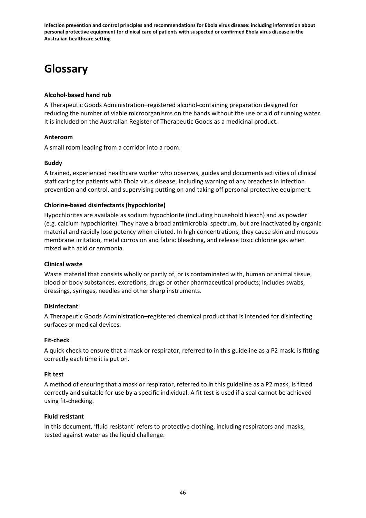# **Glossary**

### **Alcohol-based hand rub**

A Therapeutic Goods Administration–registered alcohol-containing preparation designed for reducing the number of viable microorganisms on the hands without the use or aid of running water. It is included on the Australian Register of Therapeutic Goods as a medicinal product.

### **Anteroom**

A small room leading from a corridor into a room.

### **Buddy**

A trained, experienced healthcare worker who observes, guides and documents activities of clinical staff caring for patients with Ebola virus disease, including warning of any breaches in infection prevention and control, and supervising putting on and taking off personal protective equipment.

### **Chlorine-based disinfectants (hypochlorite)**

Hypochlorites are available as sodium hypochlorite (including household bleach) and as powder (e.g. calcium hypochlorite). They have a broad antimicrobial spectrum, but are inactivated by organic material and rapidly lose potency when diluted. In high concentrations, they cause skin and mucous membrane irritation, metal corrosion and fabric bleaching, and release toxic chlorine gas when mixed with acid or ammonia.

#### **Clinical waste**

Waste material that consists wholly or partly of, or is contaminated with, human or animal tissue, blood or body substances, excretions, drugs or other pharmaceutical products; includes swabs, dressings, syringes, needles and other sharp instruments.

#### **Disinfectant**

A Therapeutic Goods Administration–registered chemical product that is intended for disinfecting surfaces or medical devices.

#### **Fit-check**

A quick check to ensure that a mask or respirator, referred to in this guideline as a P2 mask, is fitting correctly each time it is put on.

#### **Fit test**

A method of ensuring that a mask or respirator, referred to in this guideline as a P2 mask, is fitted correctly and suitable for use by a specific individual. A fit test is used if a seal cannot be achieved using fit-checking.

#### **Fluid resistant**

In this document, 'fluid resistant' refers to protective clothing, including respirators and masks, tested against water as the liquid challenge.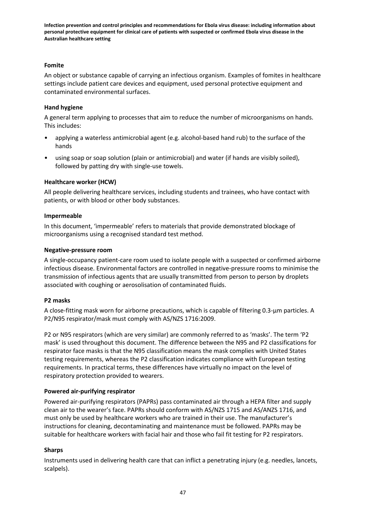### **Fomite**

An object or substance capable of carrying an infectious organism. Examples of fomites in healthcare settings include patient care devices and equipment, used personal protective equipment and contaminated environmental surfaces.

### **Hand hygiene**

A general term applying to processes that aim to reduce the number of microorganisms on hands. This includes:

- applying a waterless antimicrobial agent (e.g. alcohol-based hand rub) to the surface of the hands
- using soap or soap solution (plain or antimicrobial) and water (if hands are visibly soiled), followed by patting dry with single-use towels.

### **Healthcare worker (HCW)**

All people delivering healthcare services, including students and trainees, who have contact with patients, or with blood or other body substances.

#### **Impermeable**

In this document, 'impermeable' refers to materials that provide demonstrated blockage of microorganisms using a recognised standard test method.

#### **Negative-pressure room**

A single-occupancy patient-care room used to isolate people with a suspected or confirmed airborne infectious disease. Environmental factors are controlled in negative-pressure rooms to minimise the transmission of infectious agents that are usually transmitted from person to person by droplets associated with coughing or aerosolisation of contaminated fluids.

#### **P2 masks**

A close-fitting mask worn for airborne precautions, which is capable of filtering 0.3-μm particles. A P2/N95 respirator/mask must comply with AS/NZS 1716:2009.

P2 or N95 respirators (which are very similar) are commonly referred to as 'masks'. The term 'P2 mask' is used throughout this document. The difference between the N95 and P2 classifications for respirator face masks is that the N95 classification means the mask complies with United States testing requirements, whereas the P2 classification indicates compliance with European testing requirements. In practical terms, these differences have virtually no impact on the level of respiratory protection provided to wearers.

#### **Powered air-purifying respirator**

Powered air-purifying respirators (PAPRs) pass contaminated air through a HEPA filter and supply clean air to the wearer's face. PAPRs should conform with AS/NZS 1715 and AS/ANZS 1716, and must only be used by healthcare workers who are trained in their use. The manufacturer's instructions for cleaning, decontaminating and maintenance must be followed. PAPRs may be suitable for healthcare workers with facial hair and those who fail fit testing for P2 respirators.

#### **Sharps**

Instruments used in delivering health care that can inflict a penetrating injury (e.g. needles, lancets, scalpels).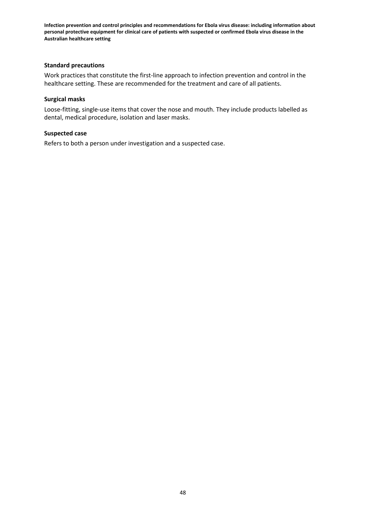#### **Standard precautions**

Work practices that constitute the first-line approach to infection prevention and control in the healthcare setting. These are recommended for the treatment and care of all patients.

#### **Surgical masks**

Loose-fitting, single-use items that cover the nose and mouth. They include products labelled as dental, medical procedure, isolation and laser masks.

#### **Suspected case**

Refers to both a person under investigation and a suspected case.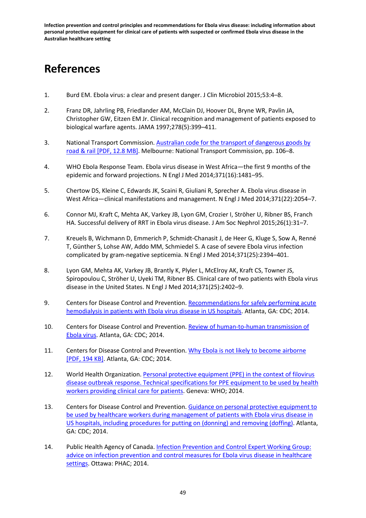## **References**

- 1. Burd EM. Ebola virus: a clear and present danger. J Clin Microbiol 2015;53:4–8.
- 2. Franz DR, Jahrling PB, Friedlander AM, McClain DJ, Hoover DL, Bryne WR, Pavlin JA, Christopher GW, Eitzen EM Jr. Clinical recognition and management of patients exposed to biological warfare agents. JAMA 1997;278(5):399–411.
- 3. National Transport Commission. [Australian code for the transport of dangerous goods by](http://www.ntc.gov.au/Media/Reports/(B3155789-31BC-434C-B17E-B0C0A43E6D6B).pdf)  [road & rail](http://www.ntc.gov.au/Media/Reports/(B3155789-31BC-434C-B17E-B0C0A43E6D6B).pdf) [PDF, 12.8 MB]. Melbourne: National Transport Commission, pp. 106–8.
- 4. WHO Ebola Response Team. Ebola virus disease in West Africa—the first 9 months of the epidemic and forward projections. N Engl J Med 2014;371(16):1481–95.
- 5. Chertow DS, Kleine C, Edwards JK, Scaini R, Giuliani R, Sprecher A. Ebola virus disease in West Africa—clinical manifestations and management. N Engl J Med 2014;371(22):2054–7.
- 6. Connor MJ, Kraft C, Mehta AK, Varkey JB, Lyon GM, Crozier I, Ströher U, Ribner BS, Franch HA. Successful delivery of RRT in Ebola virus disease. J Am Soc Nephrol 2015;26(1):31–7.
- 7. Kreuels B, Wichmann D, Emmerich P, Schmidt-Chanasit J, de Heer G, Kluge S, Sow A, Renné T, Günther S, Lohse AW, Addo MM, Schmiedel S. A case of severe Ebola virus infection complicated by gram-negative septicemia. N Engl J Med 2014;371(25):2394–401.
- 8. Lyon GM, Mehta AK, Varkey JB, Brantly K, Plyler L, McElroy AK, Kraft CS, Towner JS, Spiropoulou C, Ströher U, Uyeki TM, Ribner BS. Clinical care of two patients with Ebola virus disease in the United States. N Engl J Med 2014;371(25):2402–9.
- 9. Centers for Disease Control and Prevention. [Recommendations for safely performing acute](http://www.cdc.gov/vhf/ebola/hcp/guidance-dialysis.html)  [hemodialysis in patients with Ebola virus disease in US hospitals.](http://www.cdc.gov/vhf/ebola/hcp/guidance-dialysis.html) Atlanta, GA: CDC; 2014.
- 10. Centers for Disease Control and Prevention. [Review of human-to-human transmission of](http://www.cdc.gov/vhf/ebola/transmission/human-transmission.html)  [Ebola virus.](http://www.cdc.gov/vhf/ebola/transmission/human-transmission.html) Atlanta, GA: CDC; 2014.
- 11. Centers for Disease Control and Prevention. [Why Ebola is not likely to become airborne](http://www.cdc.gov/vhf/ebola/pdf/mutations.pdf) [PDF, 194 KB]. Atlanta, GA: CDC; 2014.
- 12. World Health Organization. [Personal protective equipment \(PPE\) in the context of filovirus](http://www.who.int/mediacentre/news/releases/2014/ebola-ppe-guidelines/en/)  [disease outbreak response. Technical specifications for PPE equipment to be used by health](http://www.who.int/mediacentre/news/releases/2014/ebola-ppe-guidelines/en/)  [workers providing clinical care for patients.](http://www.who.int/mediacentre/news/releases/2014/ebola-ppe-guidelines/en/) Geneva: WHO; 2014.
- 13. Centers for Disease Control and Prevention. [Guidance on personal protective equipment to](http://www.cdc.gov/vhf/ebola/hcp/procedures-for-ppe.html) be used by healthcare workers [during management of patients with Ebola virus disease in](http://www.cdc.gov/vhf/ebola/hcp/procedures-for-ppe.html)  [US hospitals, including procedures for putting on \(donning\) and removing \(doffing\).](http://www.cdc.gov/vhf/ebola/hcp/procedures-for-ppe.html) Atlanta, GA: CDC; 2014.
- 14. Public Health Agency of Canada. Infection Prevention and Control Expert Working Group: [advice on infection prevention and control measures for Ebola virus disease in healthcare](http://www.phac-aspc.gc.ca/id-mi/vhf-fvh/ebola-ipc-pci-eng.php)  [settings.](http://www.phac-aspc.gc.ca/id-mi/vhf-fvh/ebola-ipc-pci-eng.php) Ottawa: PHAC; 2014.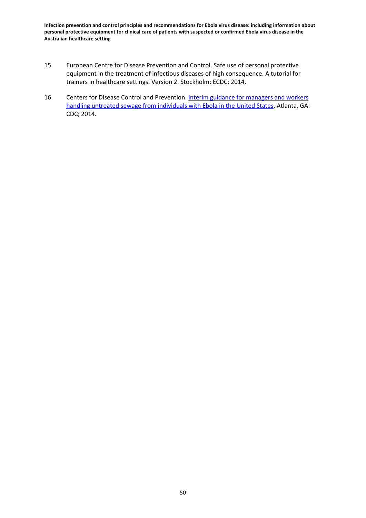- 15. European Centre for Disease Prevention and Control. Safe use of personal protective equipment in the treatment of infectious diseases of high consequence. A tutorial for trainers in healthcare settings. Version 2. Stockholm: ECDC; 2014.
- 16. Centers for Disease Control and Prevention. Interim guidance for managers and workers [handling untreated sewage from individuals with Ebola in the United States.](http://www.cdc.gov/vhf/ebola/prevention/handling-sewage.html) Atlanta, GA: CDC; 2014.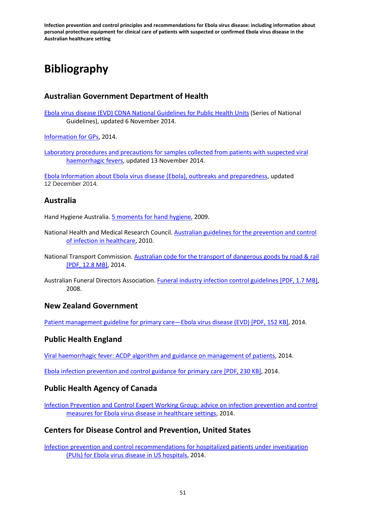# **Bibliography**

## **Australian Government Department of Health**

[Ebola virus disease \(EVD\) CDNA National Guidelines for Public Health Units](http://health.gov.au/internet/main/publishing.nsf/Content/ohp-ebola-Information-for-Health-Professionals) (Series of National Guidelines), updated 6 November 2014.

[Information for GPs,](http://health.gov.au/internet/main/publishing.nsf/Content/ohp-ebola-gps.htm) 2014.

[Laboratory procedures and precautions for samples collected from patients with suspected viral](http://www.health.gov.au/internet/main/publishing.nsf/Content/cda-pubs-other-vhf.htm)  [haemorrhagic fevers,](http://www.health.gov.au/internet/main/publishing.nsf/Content/cda-pubs-other-vhf.htm) updated 13 November 2014.

[Ebola Information about Ebola virus disease \(Ebola\), outbreaks and preparedness,](http://www.health.gov.au/internet/main/publishing.nsf/Content/ohp-ebola.htm) updated 12 December 2014.

## **Australia**

Hand Hygiene Australia[. 5 moments for hand hygiene,](http://www.hha.org.au/home/5-moments-for-hand-hygiene.aspx) 2009.

- National Health and Medical Research Council. [Australian guidelines for the prevention and control](http://www.nhmrc.gov.au/guidelines-publications/cd33)  [of infection in healthcare,](http://www.nhmrc.gov.au/guidelines-publications/cd33) 2010.
- National Transport Commission. [Australian code for the transport of dangerous goods by road & rail](http://www.ntc.gov.au/Media/Reports/(B3155789-31BC-434C-B17E-B0C0A43E6D6B).pdf) [PDF, 12.8 MB], 2014.
- Australian Funeral Directors Association. [Funeral industry infection control guidelines](http://afda.org.au/media/member/ICG.pdf) [PDF, 1.7 MB], 2008.

## **New Zealand Government**

[Patient management guideline for primary care—Ebola virus disease \(EVD\)](http://www.nzlocums.com/Locums/media/Documents/PDFs/News%20item%20PDFs/Patient-Management-Guideline-for-Primary-Care-Ebola-virus-disease-%28EVD%29.pdf) [PDF, 152 KB], 2014.

## **Public Health England**

[Viral haemorrhagic fever: ACDP algorithm and guidance on management of patients,](https://www.gov.uk/government/publications/viral-haemorrhagic-fever-algorithm-and-guidance-on-management-of-patients) 2014.

[Ebola infection prevention and control guidance for primary care](https://www.gov.uk/government/uploads/system/uploads/attachment_data/file/377223/Ebola_infection_prevention_and_control_guidance_for_primary_care.pdf) [PDF, 230 KB], 2014.

## **Public Health Agency of Canada**

[Infection Prevention and Control Expert Working Group: advice on infection prevention and control](http://www.phac-aspc.gc.ca/id-mi/vhf-fvh/ebola-ipc-pci-eng.php)  [measures for Ebola virus disease in healthcare settings,](http://www.phac-aspc.gc.ca/id-mi/vhf-fvh/ebola-ipc-pci-eng.php) 2014.

## **Centers for Disease Control and Prevention, United States**

[Infection prevention and control recommendations for hospitalized patients under investigation](http://www.cdc.gov/vhf/ebola/hcp/infection-prevention-and-control-recommendations.html)  [\(PUIs\) for Ebola virus disease](http://www.cdc.gov/vhf/ebola/hcp/infection-prevention-and-control-recommendations.html) in US hospitals, 2014.